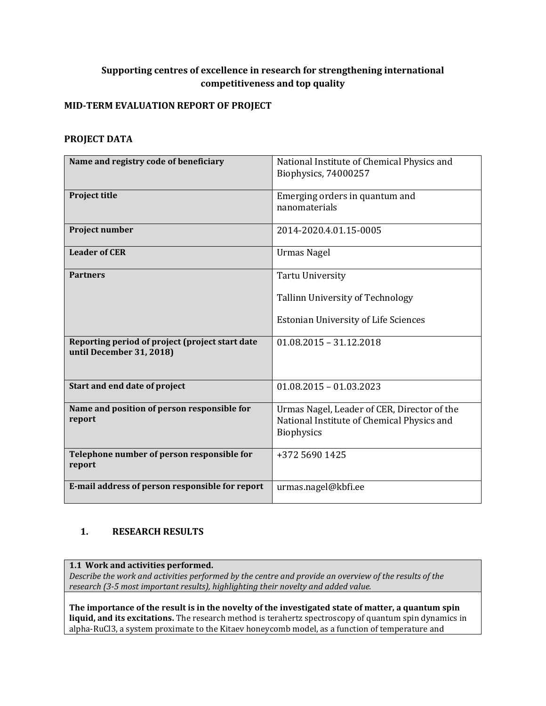## **Supporting centres of excellence in research for strengthening international competitiveness and top quality**

### **MID-TERM EVALUATION REPORT OF PROJECT**

#### **PROJECT DATA**

| Name and registry code of beneficiary                                       | National Institute of Chemical Physics and<br>Biophysics, 74000257                                      |
|-----------------------------------------------------------------------------|---------------------------------------------------------------------------------------------------------|
| <b>Project title</b>                                                        | Emerging orders in quantum and<br>nanomaterials                                                         |
| <b>Project number</b>                                                       | 2014-2020.4.01.15-0005                                                                                  |
| <b>Leader of CER</b>                                                        | <b>Urmas Nagel</b>                                                                                      |
| <b>Partners</b>                                                             | <b>Tartu University</b>                                                                                 |
|                                                                             | Tallinn University of Technology                                                                        |
|                                                                             | <b>Estonian University of Life Sciences</b>                                                             |
| Reporting period of project (project start date<br>until December 31, 2018) | $01.08.2015 - 31.12.2018$                                                                               |
| Start and end date of project                                               | $01.08.2015 - 01.03.2023$                                                                               |
| Name and position of person responsible for<br>report                       | Urmas Nagel, Leader of CER, Director of the<br>National Institute of Chemical Physics and<br>Biophysics |
| Telephone number of person responsible for<br>report                        | +372 5690 1425                                                                                          |
| E-mail address of person responsible for report                             | urmas.nagel@kbfi.ee                                                                                     |

## **1. RESEARCH RESULTS**

**1.1 Work and activities performed.**

*Describe the work and activities performed by the centre and provide an overview of the results of the research (3-5 most important results), highlighting their novelty and added value.*

**The importance of the result is in the novelty of the investigated state of matter, a quantum spin liquid, and its excitations.** The research method is terahertz spectroscopy of quantum spin dynamics in alpha-RuCl3, a system proximate to the Kitaev honeycomb model, as a function of temperature and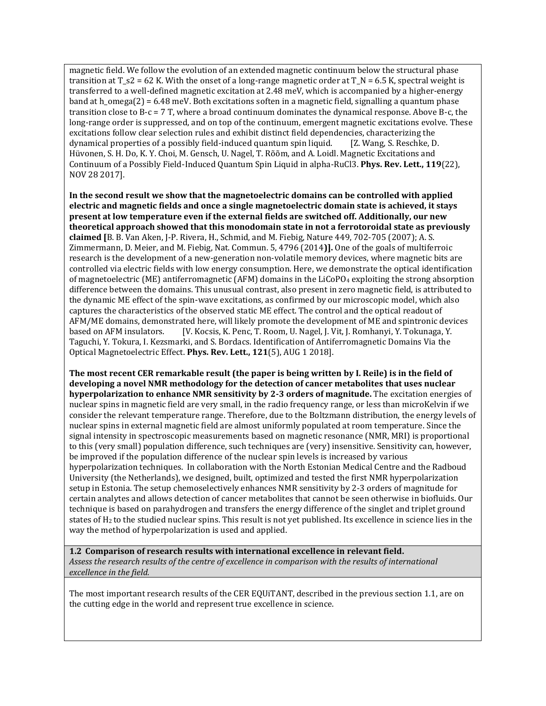magnetic field. We follow the evolution of an extended magnetic continuum below the structural phase transition at  $T_S^2 = 62$  K. With the onset of a long-range magnetic order at  $T_N = 6.5$  K, spectral weight is transferred to a well-defined magnetic excitation at 2.48 meV, which is accompanied by a higher-energy band at h\_omega(2) = 6.48 meV. Both excitations soften in a magnetic field, signalling a quantum phase transition close to B-c = 7 T, where a broad continuum dominates the dynamical response. Above B-c, the long-range order is suppressed, and on top of the continuum, emergent magnetic excitations evolve. These excitations follow clear selection rules and exhibit distinct field dependencies, characterizing the dynamical properties of a possibly field-induced quantum spin liquid. [Z. Wang, S. Reschke, D. Hüvonen, S. H. Do, K. Y. Choi, M. Gensch, U. Nagel, T. Rõõm, and A. Loidl. Magnetic Excitations and Continuum of a Possibly Field-Induced Quantum Spin Liquid in alpha-RuCl3. **Phys. Rev. Lett., 119**(22), NOV 28 2017].

**In the second result we show that the magnetoelectric domains can be controlled with applied electric and magnetic fields and once a single magnetoelectric domain state is achieved, it stays present at low temperature even if the external fields are switched off. Additionally, our new theoretical approach showed that this monodomain state in not a ferrotoroidal state as previously claimed [**B. B. Van Aken, J-P. Rivera, H., Schmid, and M. Fiebig, Nature 449, 702-705 (2007); A. S. Zimmermann, D. Meier, and M. Fiebig, Nat. Commun. 5, 4796 (2014**)].** One of the goals of multiferroic research is the development of a new-generation non-volatile memory devices, where magnetic bits are controlled via electric fields with low energy consumption. Here, we demonstrate the optical identification of magnetoelectric (ME) antiferromagnetic (AFM) domains in the LiCoPO<sub>4</sub> exploiting the strong absorption difference between the domains. This unusual contrast, also present in zero magnetic field, is attributed to the dynamic ME effect of the spin-wave excitations, as confirmed by our microscopic model, which also captures the characteristics of the observed static ME effect. The control and the optical readout of AFM/ME domains, demonstrated here, will likely promote the development of ME and spintronic devices based on AFM insulators. [V. Kocsis, K. Penc, T. Room, U. Nagel, J. Vit, J. Romhanyi, Y. Tokunaga, Y. Taguchi, Y. Tokura, I. Kezsmarki, and S. Bordacs. Identification of Antiferromagnetic Domains Via the Optical Magnetoelectric Effect. **Phys. Rev. Lett., 121**(5), AUG 1 2018].

**The most recent CER remarkable result (the paper is being written by I. Reile) is in the field of developing a novel NMR methodology for the detection of cancer metabolites that uses nuclear hyperpolarization to enhance NMR sensitivity by 2-3 orders of magnitude.** The excitation energies of nuclear spins in magnetic field are very small, in the radio frequency range, or less than microKelvin if we consider the relevant temperature range. Therefore, due to the Boltzmann distribution, the energy levels of nuclear spins in external magnetic field are almost uniformly populated at room temperature. Since the signal intensity in spectroscopic measurements based on magnetic resonance (NMR, MRI) is proportional to this (very small) population difference, such techniques are (very) insensitive. Sensitivity can, however, be improved if the population difference of the nuclear spin levels is increased by various hyperpolarization techniques. In collaboration with the North Estonian Medical Centre and the Radboud University (the Netherlands), we designed, built, optimized and tested the first NMR hyperpolarization setup in Estonia. The setup chemoselectively enhances NMR sensitivity by 2-3 orders of magnitude for certain analytes and allows detection of cancer metabolites that cannot be seen otherwise in biofluids. Our technique is based on parahydrogen and transfers the energy difference of the singlet and triplet ground states of H<sup>2</sup> to the studied nuclear spins. This result is not yet published. Its excellence in science lies in the way the method of hyperpolarization is used and applied.

**1.2 Comparison of research results with international excellence in relevant field.**  *Assess the research results of the centre of excellence in comparison with the results of international excellence in the field.*

The most important research results of the CER EQUiTANT, described in the previous section 1.1, are on the cutting edge in the world and represent true excellence in science.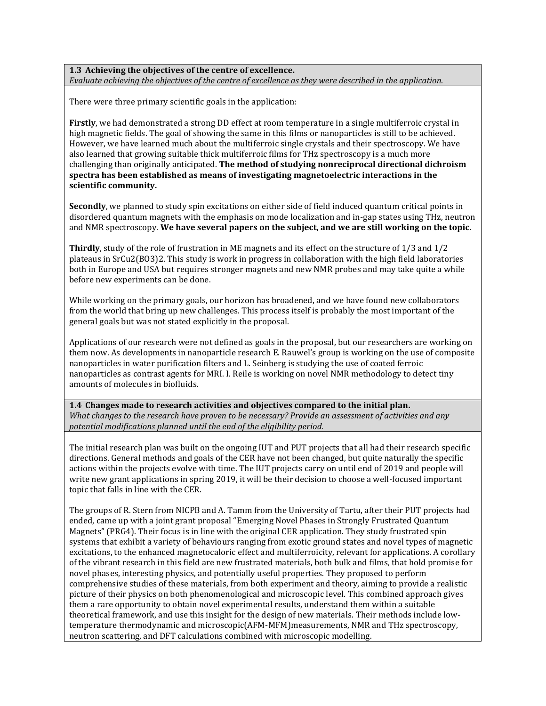#### **1.3 Achieving the objectives of the centre of excellence.**  *Evaluate achieving the objectives of the centre of excellence as they were described in the application.*

There were three primary scientific goals in the application:

**Firstly**, we had demonstrated a strong DD effect at room temperature in a single multiferroic crystal in high magnetic fields. The goal of showing the same in this films or nanoparticles is still to be achieved. However, we have learned much about the multiferroic single crystals and their spectroscopy. We have also learned that growing suitable thick multiferroic films for THz spectroscopy is a much more challenging than originally anticipated. **The method of studying nonreciprocal directional dichroism spectra has been established as means of investigating magnetoelectric interactions in the scientific community.**

**Secondly**, we planned to study spin excitations on either side of field induced quantum critical points in disordered quantum magnets with the emphasis on mode localization and in-gap states using THz, neutron and NMR spectroscopy. **We have several papers on the subject, and we are still working on the topic**.

**Thirdly**, study of the role of frustration in ME magnets and its effect on the structure of 1/3 and 1/2 plateaus in SrCu2(BO3)2. This study is work in progress in collaboration with the high field laboratories both in Europe and USA but requires stronger magnets and new NMR probes and may take quite a while before new experiments can be done.

While working on the primary goals, our horizon has broadened, and we have found new collaborators from the world that bring up new challenges. This process itself is probably the most important of the general goals but was not stated explicitly in the proposal.

Applications of our research were not defined as goals in the proposal, but our researchers are working on them now. As developments in nanoparticle research E. Rauwel's group is working on the use of composite nanoparticles in water purification filters and L. Seinberg is studying the use of coated ferroic nanoparticles as contrast agents for MRI. I. Reile is working on novel NMR methodology to detect tiny amounts of molecules in biofluids.

**1.4 Changes made to research activities and objectives compared to the initial plan.**  *What changes to the research have proven to be necessary? Provide an assessment of activities and any potential modifications planned until the end of the eligibility period.*

The initial research plan was built on the ongoing IUT and PUT projects that all had their research specific directions. General methods and goals of the CER have not been changed, but quite naturally the specific actions within the projects evolve with time. The IUT projects carry on until end of 2019 and people will write new grant applications in spring 2019, it will be their decision to choose a well-focused important topic that falls in line with the CER.

The groups of R. Stern from NICPB and A. Tamm from the University of Tartu, after their PUT projects had ended, came up with a joint grant proposal "Emerging Novel Phases in Strongly Frustrated Quantum Magnets" (PRG4). Their focus is in line with the original CER application. They study frustrated spin systems that exhibit a variety of behaviours ranging from exotic ground states and novel types of magnetic excitations, to the enhanced magnetocaloric effect and multiferroicity, relevant for applications. A corollary of the vibrant research in this field are new frustrated materials, both bulk and films, that hold promise for novel phases, interesting physics, and potentially useful properties. They proposed to perform comprehensive studies of these materials, from both experiment and theory, aiming to provide a realistic picture of their physics on both phenomenological and microscopic level. This combined approach gives them a rare opportunity to obtain novel experimental results, understand them within a suitable theoretical framework, and use this insight for the design of new materials. Their methods include lowtemperature thermodynamic and microscopic(AFM-MFM)measurements, NMR and THz spectroscopy, neutron scattering, and DFT calculations combined with microscopic modelling.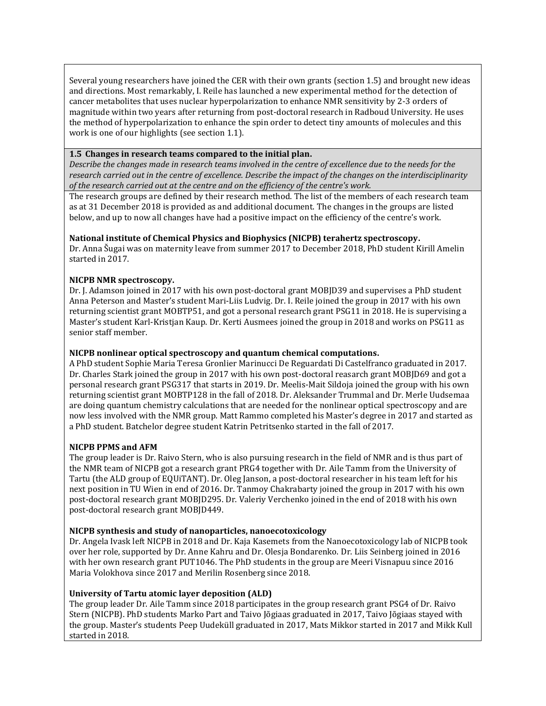Several young researchers have joined the CER with their own grants (section 1.5) and brought new ideas and directions. Most remarkably, I. Reile has launched a new experimental method for the detection of cancer metabolites that uses nuclear hyperpolarization to enhance NMR sensitivity by 2-3 orders of magnitude within two years after returning from post-doctoral research in Radboud University. He uses the method of hyperpolarization to enhance the spin order to detect tiny amounts of molecules and this work is one of our highlights (see section 1.1).

#### **1.5 Changes in research teams compared to the initial plan.**

*Describe the changes made in research teams involved in the centre of excellence due to the needs for the research carried out in the centre of excellence. Describe the impact of the changes on the interdisciplinarity of the research carried out at the centre and on the efficiency of the centre's work.*

The research groups are defined by their research method. The list of the members of each research team as at 31 December 2018 is provided as and additional document. The changes in the groups are listed below, and up to now all changes have had a positive impact on the efficiency of the centre's work.

#### **National institute of Chemical Physics and Biophysics (NICPB) terahertz spectroscopy.**

Dr. Anna Šugai was on maternity leave from summer 2017 to December 2018, PhD student Kirill Amelin started in 2017.

#### **NICPB NMR spectroscopy.**

Dr. J. Adamson joined in 2017 with his own post-doctoral grant MOBJD39 and supervises a PhD student Anna Peterson and Master's student Mari-Liis Ludvig. Dr. I. Reile joined the group in 2017 with his own returning scientist grant MOBTP51, and got a personal research grant PSG11 in 2018. He is supervising a Master's student Karl-Kristjan Kaup. Dr. Kerti Ausmees joined the group in 2018 and works on PSG11 as senior staff member.

#### **NICPB nonlinear optical spectroscopy and quantum chemical computations.**

A PhD student Sophie Maria Teresa Gronlier Marinucci De Reguardati Di Castelfranco graduated in 2017. Dr. Charles Stark joined the group in 2017 with his own post-doctoral reasarch grant MOBJD69 and got a personal research grant PSG317 that starts in 2019. Dr. Meelis-Mait Sildoja joined the group with his own returning scientist grant MOBTP128 in the fall of 2018. Dr. Aleksander Trummal and Dr. Merle Uudsemaa are doing quantum chemistry calculations that are needed for the nonlinear optical spectroscopy and are now less involved with the NMR group. Matt Rammo completed his Master's degree in 2017 and started as a PhD student. Batchelor degree student Katrin Petritsenko started in the fall of 2017.

#### **NICPB PPMS and AFM**

The group leader is Dr. Raivo Stern, who is also pursuing research in the field of NMR and is thus part of the NMR team of NICPB got a research grant PRG4 together with Dr. Aile Tamm from the University of Tartu (the ALD group of EQUiTANT). Dr. Oleg Janson, a post-doctoral researcher in his team left for his next position in TU Wien in end of 2016. Dr. Tanmoy Chakrabarty joined the group in 2017 with his own post-doctoral research grant MOBJD295. Dr. Valeriy Verchenko joined in the end of 2018 with his own post-doctoral research grant MOBJD449.

#### **NICPB synthesis and study of nanoparticles, nanoecotoxicology**

Dr. Angela Ivask left NICPB in 2018 and Dr. Kaja Kasemets from the Nanoecotoxicology lab of NICPB took over her role, supported by Dr. Anne Kahru and Dr. Olesja Bondarenko. Dr. Liis Seinberg joined in 2016 with her own research grant PUT1046. The PhD students in the group are Meeri Visnapuu since 2016 Maria Volokhova since 2017 and Merilin Rosenberg since 2018.

#### **University of Tartu atomic layer deposition (ALD)**

The group leader Dr. Aile Tamm since 2018 participates in the group research grant PSG4 of Dr. Raivo Stern (NICPB). PhD students Marko Part and Taivo Jõgiaas graduated in 2017, Taivo Jõgiaas stayed with the group. Master's students Peep Uudeküll graduated in 2017, Mats Mikkor started in 2017 and Mikk Kull started in 2018.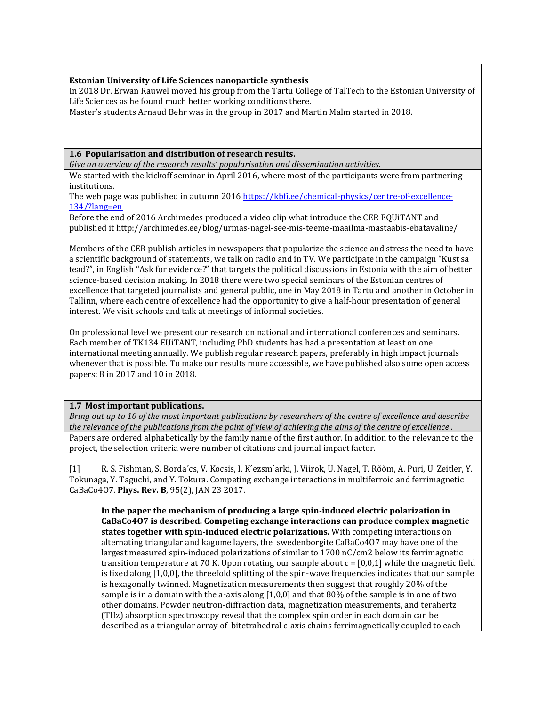#### **Estonian University of Life Sciences nanoparticle synthesis**

In 2018 Dr. Erwan Rauwel moved his group from the Tartu College of TalTech to the Estonian University of Life Sciences as he found much better working conditions there.

Master's students Arnaud Behr was in the group in 2017 and Martin Malm started in 2018.

#### **1.6 Popularisation and distribution of research results.**

*Give an overview of the research results' popularisation and dissemination activities.*

We started with the kickoff seminar in April 2016, where most of the participants were from partnering institutions.

The web page was published in autumn 2016 [https://kbfi.ee/chemical-physics/centre-of-excellence-](https://kbfi.ee/chemical-physics/centre-of-excellence-134/?lang=en)[134/?lang=en](https://kbfi.ee/chemical-physics/centre-of-excellence-134/?lang=en)

Before the end of 2016 Archimedes produced a video clip what introduce the CER EQUiTANT and published it http://archimedes.ee/blog/urmas-nagel-see-mis-teeme-maailma-mastaabis-ebatavaline/

Members of the CER publish articles in newspapers that popularize the science and stress the need to have a scientific background of statements, we talk on radio and in TV. We participate in the campaign "Kust sa tead?", in English "Ask for evidence?" that targets the political discussions in Estonia with the aim of better science-based decision making. In 2018 there were two special seminars of the Estonian centres of excellence that targeted journalists and general public, one in May 2018 in Tartu and another in October in Tallinn, where each centre of excellence had the opportunity to give a half-hour presentation of general interest. We visit schools and talk at meetings of informal societies.

On professional level we present our research on national and international conferences and seminars. Each member of TK134 EUiTANT, including PhD students has had a presentation at least on one international meeting annually. We publish regular research papers, preferably in high impact journals whenever that is possible. To make our results more accessible, we have published also some open access papers: 8 in 2017 and 10 in 2018.

#### **1.7 Most important publications.**

*Bring out up to 10 of the most important publications by researchers of the centre of excellence and describe the relevance of the publications from the point of view of achieving the aims of the centre of excellence .* Papers are ordered alphabetically by the family name of the first author. In addition to the relevance to the project, the selection criteria were number of citations and journal impact factor.

[1] R. S. Fishman, S. Borda´cs, V. Kocsis, I. K´ezsm´arki, J. Viirok, U. Nagel, T. Rõõm, A. Puri, U. Zeitler, Y. Tokunaga, Y. Taguchi, and Y. Tokura. Competing exchange interactions in multiferroic and ferrimagnetic CaBaCo4O7. **Phys. Rev. B**, 95(2), JAN 23 2017.

**In the paper the mechanism of producing a large spin-induced electric polarization in CaBaCo4O7 is described. Competing exchange interactions can produce complex magnetic states together with spin-induced electric polarizations.** With competing interactions on alternating triangular and kagome layers, the swedenborgite CaBaCo4O7 may have one of the largest measured spin-induced polarizations of similar to 1700 nC/cm2 below its ferrimagnetic transition temperature at 70 K. Upon rotating our sample about  $c = [0,0,1]$  while the magnetic field is fixed along [1,0,0], the threefold splitting of the spin-wave frequencies indicates that our sample is hexagonally twinned. Magnetization measurements then suggest that roughly 20% of the sample is in a domain with the a-axis along  $[1,0,0]$  and that 80% of the sample is in one of two other domains. Powder neutron-diffraction data, magnetization measurements, and terahertz (THz) absorption spectroscopy reveal that the complex spin order in each domain can be described as a triangular array of bitetrahedral c-axis chains ferrimagnetically coupled to each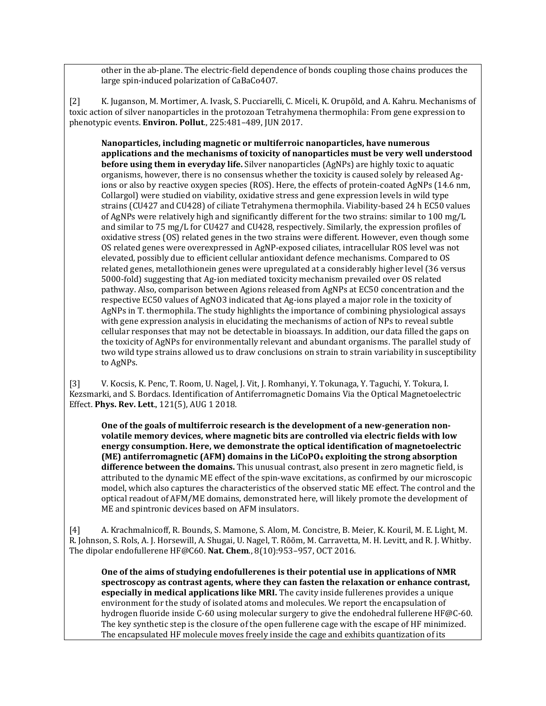other in the ab-plane. The electric-field dependence of bonds coupling those chains produces the large spin-induced polarization of CaBaCo4O7.

[2] K. Juganson, M. Mortimer, A. Ivask, S. Pucciarelli, C. Miceli, K. Orupõld, and A. Kahru. Mechanisms of toxic action of silver nanoparticles in the protozoan Tetrahymena thermophila: From gene expression to phenotypic events. **Environ. Pollut**., 225:481–489, JUN 2017.

**Nanoparticles, including magnetic or multiferroic nanoparticles, have numerous applications and the mechanisms of toxicity of nanoparticles must be very well understood before using them in everyday life.** Silver nanoparticles (AgNPs) are highly toxic to aquatic organisms, however, there is no consensus whether the toxicity is caused solely by released Agions or also by reactive oxygen species (ROS). Here, the effects of protein-coated AgNPs (14.6 nm, Collargol) were studied on viability, oxidative stress and gene expression levels in wild type strains (CU427 and CU428) of ciliate Tetrahymena thermophila. Viability-based 24 h EC50 values of AgNPs were relatively high and significantly different for the two strains: similar to 100 mg/L and similar to 75 mg/L for CU427 and CU428, respectively. Similarly, the expression profiles of oxidative stress (OS) related genes in the two strains were different. However, even though some OS related genes were overexpressed in AgNP-exposed ciliates, intracellular ROS level was not elevated, possibly due to efficient cellular antioxidant defence mechanisms. Compared to OS related genes, metallothionein genes were upregulated at a considerably higher level (36 versus 5000-fold) suggesting that Ag-ion mediated toxicity mechanism prevailed over OS related pathway. Also, comparison between Agions released from AgNPs at EC50 concentration and the respective EC50 values of AgNO3 indicated that Ag-ions played a major role in the toxicity of AgNPs in T. thermophila. The study highlights the importance of combining physiological assays with gene expression analysis in elucidating the mechanisms of action of NPs to reveal subtle cellular responses that may not be detectable in bioassays. In addition, our data filled the gaps on the toxicity of AgNPs for environmentally relevant and abundant organisms. The parallel study of two wild type strains allowed us to draw conclusions on strain to strain variability in susceptibility to AgNPs.

[3] V. Kocsis, K. Penc, T. Room, U. Nagel, J. Vit, J. Romhanyi, Y. Tokunaga, Y. Taguchi, Y. Tokura, I. Kezsmarki, and S. Bordacs. Identification of Antiferromagnetic Domains Via the Optical Magnetoelectric Effect. **Phys. Rev. Lett**., 121(5), AUG 1 2018.

**One of the goals of multiferroic research is the development of a new-generation nonvolatile memory devices, where magnetic bits are controlled via electric fields with low energy consumption. Here, we demonstrate the optical identification of magnetoelectric (ME) antiferromagnetic (AFM) domains in the LiCoPO<sup>4</sup> exploiting the strong absorption difference between the domains.** This unusual contrast, also present in zero magnetic field, is attributed to the dynamic ME effect of the spin-wave excitations, as confirmed by our microscopic model, which also captures the characteristics of the observed static ME effect. The control and the optical readout of AFM/ME domains, demonstrated here, will likely promote the development of ME and spintronic devices based on AFM insulators.

[4] A. Krachmalnicoff, R. Bounds, S. Mamone, S. Alom, M. Concistre, B. Meier, K. Kouril, M. E. Light, M. R. Johnson, S. Rols, A. J. Horsewill, A. Shugai, U. Nagel, T. Rõõm, M. Carravetta, M. H. Levitt, and R. J. Whitby. The dipolar endofullerene HF@C60. **Nat. Chem**., 8(10):953–957, OCT 2016.

**One of the aims of studying endofullerenes is their potential use in applications of NMR spectroscopy as contrast agents, where they can fasten the relaxation or enhance contrast, especially in medical applications like MRI.** The cavity inside fullerenes provides a unique environment for the study of isolated atoms and molecules. We report the encapsulation of hydrogen fluoride inside C-60 using molecular surgery to give the endohedral fullerene HF@C-60. The key synthetic step is the closure of the open fullerene cage with the escape of HF minimized. The encapsulated HF molecule moves freely inside the cage and exhibits quantization of its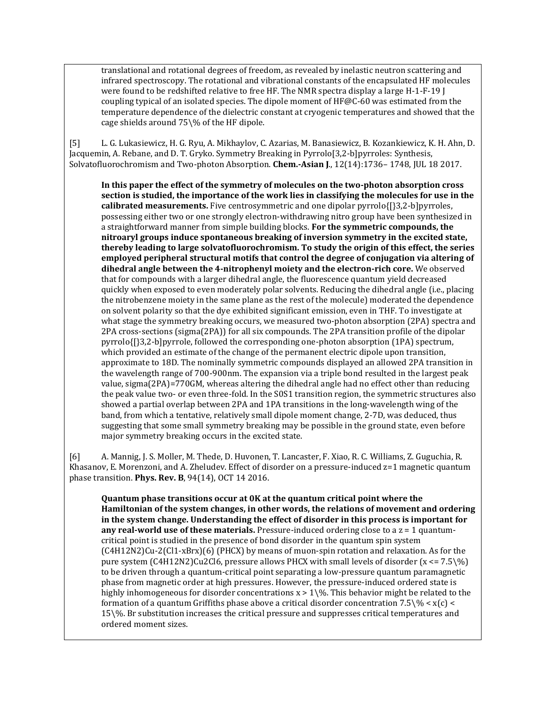translational and rotational degrees of freedom, as revealed by inelastic neutron scattering and infrared spectroscopy. The rotational and vibrational constants of the encapsulated HF molecules were found to be redshifted relative to free HF. The NMR spectra display a large H-1-F-19 J coupling typical of an isolated species. The dipole moment of HF@C-60 was estimated from the temperature dependence of the dielectric constant at cryogenic temperatures and showed that the cage shields around 75\% of the HF dipole.

[5] L. G. Lukasiewicz, H. G. Ryu, A. Mikhaylov, C. Azarias, M. Banasiewicz, B. Kozankiewicz, K. H. Ahn, D. Jacquemin, A. Rebane, and D. T. Gryko. Symmetry Breaking in Pyrrolo[3,2-b]pyrroles: Synthesis, Solvatofluorochromism and Two-photon Absorption. **Chem.-Asian J**., 12(14):1736– 1748, JUL 18 2017.

**In this paper the effect of the symmetry of molecules on the two-photon absorption cross section is studied, the importance of the work lies in classifying the molecules for use in the calibrated measurements.** Five centrosymmetric and one dipolar pyrrolo{[}3,2-b]pyrroles, possessing either two or one strongly electron-withdrawing nitro group have been synthesized in a straightforward manner from simple building blocks. **For the symmetric compounds, the nitroaryl groups induce spontaneous breaking of inversion symmetry in the excited state, thereby leading to large solvatofluorochromism. To study the origin of this effect, the series employed peripheral structural motifs that control the degree of conjugation via altering of dihedral angle between the 4-nitrophenyl moiety and the electron-rich core.** We observed that for compounds with a larger dihedral angle, the fluorescence quantum yield decreased quickly when exposed to even moderately polar solvents. Reducing the dihedral angle (i.e., placing the nitrobenzene moiety in the same plane as the rest of the molecule) moderated the dependence on solvent polarity so that the dye exhibited significant emission, even in THF. To investigate at what stage the symmetry breaking occurs, we measured two-photon absorption (2PA) spectra and 2PA cross-sections (sigma(2PA)) for all six compounds. The 2PA transition profile of the dipolar pyrrolo{[}3,2-b]pyrrole, followed the corresponding one-photon absorption (1PA) spectrum, which provided an estimate of the change of the permanent electric dipole upon transition, approximate to 18D. The nominally symmetric compounds displayed an allowed 2PA transition in the wavelength range of 700-900nm. The expansion via a triple bond resulted in the largest peak value, sigma(2PA)=770GM, whereas altering the dihedral angle had no effect other than reducing the peak value two- or even three-fold. In the S0S1 transition region, the symmetric structures also showed a partial overlap between 2PA and 1PA transitions in the long-wavelength wing of the band, from which a tentative, relatively small dipole moment change, 2-7D, was deduced, thus suggesting that some small symmetry breaking may be possible in the ground state, even before major symmetry breaking occurs in the excited state.

[6] A. Mannig, J. S. Moller, M. Thede, D. Huvonen, T. Lancaster, F. Xiao, R. C. Williams, Z. Guguchia, R. Khasanov, E. Morenzoni, and A. Zheludev. Effect of disorder on a pressure-induced z=1 magnetic quantum phase transition. **Phys. Rev. B**, 94(14), OCT 14 2016.

**Quantum phase transitions occur at 0K at the quantum critical point where the Hamiltonian of the system changes, in other words, the relations of movement and ordering in the system change. Understanding the effect of disorder in this process is important for any real-world use of these materials.** Pressure-induced ordering close to a z = 1 quantumcritical point is studied in the presence of bond disorder in the quantum spin system (C4H12N2)Cu-2(Cl1-xBrx)(6) (PHCX) by means of muon-spin rotation and relaxation. As for the pure system (C4H12N2)Cu2Cl6, pressure allows PHCX with small levels of disorder  $(x \le 7.5\%')$ to be driven through a quantum-critical point separating a low-pressure quantum paramagnetic phase from magnetic order at high pressures. However, the pressure-induced ordered state is highly inhomogeneous for disorder concentrations  $x > 1$  \%. This behavior might be related to the formation of a quantum Griffiths phase above a critical disorder concentration 7.5 $\%$  < x(c) < 15\%. Br substitution increases the critical pressure and suppresses critical temperatures and ordered moment sizes.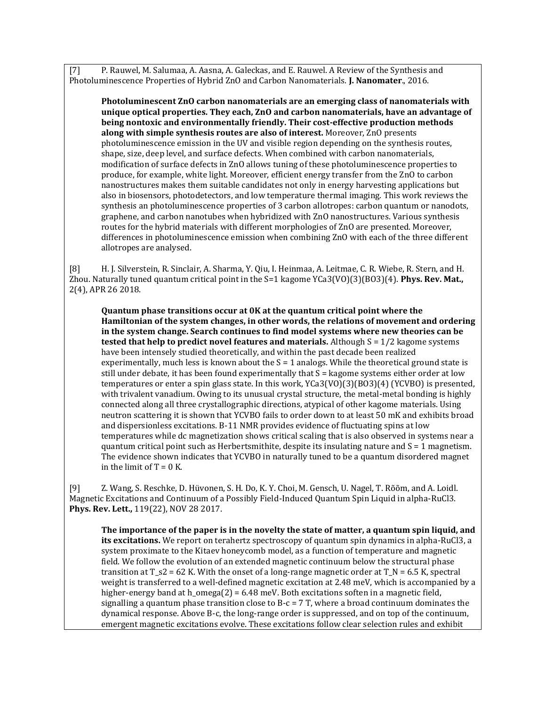[7] P. Rauwel, M. Salumaa, A. Aasna, A. Galeckas, and E. Rauwel. A Review of the Synthesis and Photoluminescence Properties of Hybrid ZnO and Carbon Nanomaterials. **J. Nanomater**., 2016.

**Photoluminescent ZnO carbon nanomaterials are an emerging class of nanomaterials with unique optical properties. They each, ZnO and carbon nanomaterials, have an advantage of being nontoxic and environmentally friendly. Their cost-effective production methods along with simple synthesis routes are also of interest.** Moreover, ZnO presents photoluminescence emission in the UV and visible region depending on the synthesis routes, shape, size, deep level, and surface defects. When combined with carbon nanomaterials, modification of surface defects in ZnO allows tuning of these photoluminescence properties to produce, for example, white light. Moreover, efficient energy transfer from the ZnO to carbon nanostructures makes them suitable candidates not only in energy harvesting applications but also in biosensors, photodetectors, and low temperature thermal imaging. This work reviews the synthesis an photoluminescence properties of 3 carbon allotropes: carbon quantum or nanodots, graphene, and carbon nanotubes when hybridized with ZnO nanostructures. Various synthesis routes for the hybrid materials with different morphologies of ZnO are presented. Moreover, differences in photoluminescence emission when combining ZnO with each of the three different allotropes are analysed.

[8] H. J. Silverstein, R. Sinclair, A. Sharma, Y. Qiu, I. Heinmaa, A. Leitmae, C. R. Wiebe, R. Stern, and H. Zhou. Naturally tuned quantum critical point in the S=1 kagome YCa3(VO)(3)(BO3)(4). **Phys. Rev. Mat.,** 2(4), APR 26 2018.

**Quantum phase transitions occur at 0K at the quantum critical point where the Hamiltonian of the system changes, in other words, the relations of movement and ordering in the system change. Search continues to find model systems where new theories can be tested that help to predict novel features and materials.** Although  $S = 1/2$  kagome systems have been intensely studied theoretically, and within the past decade been realized experimentally, much less is known about the  $S = 1$  analogs. While the theoretical ground state is still under debate, it has been found experimentally that S = kagome systems either order at low temperatures or enter a spin glass state. In this work, YCa3(VO)(3)(BO3)(4) (YCVBO) is presented, with trivalent vanadium. Owing to its unusual crystal structure, the metal-metal bonding is highly connected along all three crystallographic directions, atypical of other kagome materials. Using neutron scattering it is shown that YCVBO fails to order down to at least 50 mK and exhibits broad and dispersionless excitations. B-11 NMR provides evidence of fluctuating spins at low temperatures while dc magnetization shows critical scaling that is also observed in systems near a quantum critical point such as Herbertsmithite, despite its insulating nature and S = 1 magnetism. The evidence shown indicates that YCVBO in naturally tuned to be a quantum disordered magnet in the limit of  $T = 0$  K.

[9] Z. Wang, S. Reschke, D. Hüvonen, S. H. Do, K. Y. Choi, M. Gensch, U. Nagel, T. Rõõm, and A. Loidl. Magnetic Excitations and Continuum of a Possibly Field-Induced Quantum Spin Liquid in alpha-RuCl3. **Phys. Rev. Lett.,** 119(22), NOV 28 2017.

**The importance of the paper is in the novelty the state of matter, a quantum spin liquid, and its excitations.** We report on terahertz spectroscopy of quantum spin dynamics in alpha-RuCl3, a system proximate to the Kitaev honeycomb model, as a function of temperature and magnetic field. We follow the evolution of an extended magnetic continuum below the structural phase transition at T\_s2 = 62 K. With the onset of a long-range magnetic order at T\_N = 6.5 K, spectral weight is transferred to a well-defined magnetic excitation at 2.48 meV, which is accompanied by a higher-energy band at h\_omega(2) =  $6.48$  meV. Both excitations soften in a magnetic field, signalling a quantum phase transition close to B-c =  $7$  T, where a broad continuum dominates the dynamical response. Above B-c, the long-range order is suppressed, and on top of the continuum, emergent magnetic excitations evolve. These excitations follow clear selection rules and exhibit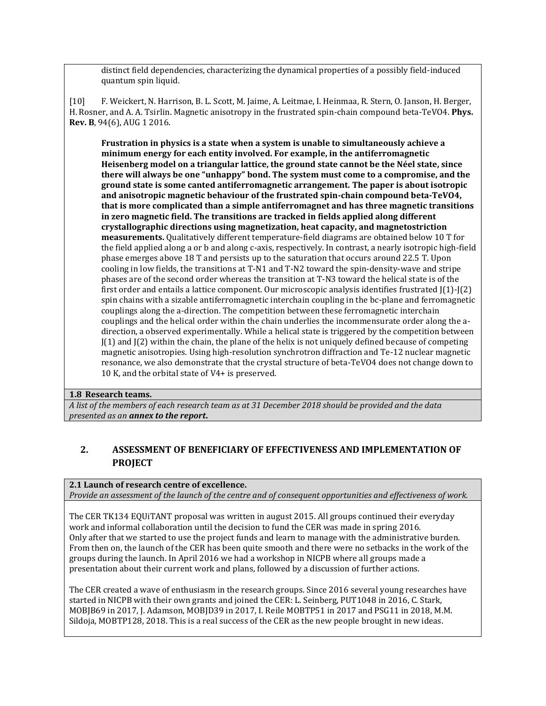distinct field dependencies, characterizing the dynamical properties of a possibly field-induced quantum spin liquid.

[10] F. Weickert, N. Harrison, B. L. Scott, M. Jaime, A. Leitmae, I. Heinmaa, R. Stern, O. Janson, H. Berger, H. Rosner, and A. A. Tsirlin. Magnetic anisotropy in the frustrated spin-chain compound beta-TeVO4. **Phys. Rev. B**, 94(6), AUG 1 2016.

**Frustration in physics is a state when a system is unable to simultaneously achieve a minimum energy for each entity involved. For example, in the antiferromagnetic Heisenberg model on a triangular lattice, the ground state cannot be the Néel state, since there will always be one "unhappy" bond. The system must come to a compromise, and the ground state is some canted antiferromagnetic arrangement. The paper is about isotropic and anisotropic magnetic behaviour of the frustrated spin-chain compound beta-TeVO4, that is more complicated than a simple antiferromagnet and has three magnetic transitions in zero magnetic field. The transitions are tracked in fields applied along different crystallographic directions using magnetization, heat capacity, and magnetostriction measurements.** Qualitatively different temperature-field diagrams are obtained below 10 T for the field applied along a or b and along c-axis, respectively. In contrast, a nearly isotropic high-field phase emerges above 18 T and persists up to the saturation that occurs around 22.5 T. Upon cooling in low fields, the transitions at T-N1 and T-N2 toward the spin-density-wave and stripe phases are of the second order whereas the transition at T-N3 toward the helical state is of the first order and entails a lattice component. Our microscopic analysis identifies frustrated J(1)-J(2) spin chains with a sizable antiferromagnetic interchain coupling in the bc-plane and ferromagnetic couplings along the a-direction. The competition between these ferromagnetic interchain couplings and the helical order within the chain underlies the incommensurate order along the adirection, a observed experimentally. While a helical state is triggered by the competition between  $J(1)$  and  $J(2)$  within the chain, the plane of the helix is not uniquely defined because of competing magnetic anisotropies. Using high-resolution synchrotron diffraction and Te-12 nuclear magnetic resonance, we also demonstrate that the crystal structure of beta-TeVO4 does not change down to 10 K, and the orbital state of V4+ is preserved.

#### **1.8 Research teams.**

*A list of the members of each research team as at 31 December 2018 should be provided and the data presented as an annex to the report***.**

## **2. ASSESSMENT OF BENEFICIARY OF EFFECTIVENESS AND IMPLEMENTATION OF PROJECT**

### **2.1 Launch of research centre of excellence.**

*Provide an assessment of the launch of the centre and of consequent opportunities and effectiveness of work.*

The CER TK134 EQUiTANT proposal was written in august 2015. All groups continued their everyday work and informal collaboration until the decision to fund the CER was made in spring 2016. Only after that we started to use the project funds and learn to manage with the administrative burden. From then on, the launch of the CER has been quite smooth and there were no setbacks in the work of the groups during the launch. In April 2016 we had a workshop in NICPB where all groups made a presentation about their current work and plans, followed by a discussion of further actions.

The CER created a wave of enthusiasm in the research groups. Since 2016 several young researches have started in NICPB with their own grants and joined the CER: L. Seinberg, PUT1048 in 2016, C. Stark, MOBJB69 in 2017, J. Adamson, MOBJD39 in 2017, I. Reile MOBTP51 in 2017 and PSG11 in 2018, M.M. Sildoja, MOBTP128, 2018. This is a real success of the CER as the new people brought in new ideas.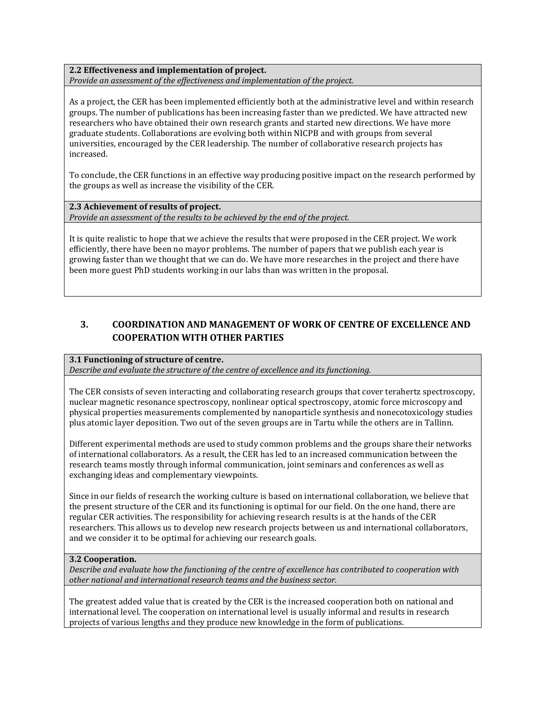**2.2 Effectiveness and implementation of project.**  *Provide an assessment of the effectiveness and implementation of the project.*

As a project, the CER has been implemented efficiently both at the administrative level and within research groups. The number of publications has been increasing faster than we predicted. We have attracted new researchers who have obtained their own research grants and started new directions. We have more graduate students. Collaborations are evolving both within NICPB and with groups from several universities, encouraged by the CER leadership. The number of collaborative research projects has increased.

To conclude, the CER functions in an effective way producing positive impact on the research performed by the groups as well as increase the visibility of the CER.

**2.3 Achievement of results of project.**  *Provide an assessment of the results to be achieved by the end of the project.*

It is quite realistic to hope that we achieve the results that were proposed in the CER project. We work efficiently, there have been no mayor problems. The number of papers that we publish each year is growing faster than we thought that we can do. We have more researches in the project and there have been more guest PhD students working in our labs than was written in the proposal.

## **3. COORDINATION AND MANAGEMENT OF WORK OF CENTRE OF EXCELLENCE AND COOPERATION WITH OTHER PARTIES**

#### **3.1 Functioning of structure of centre.**

*Describe and evaluate the structure of the centre of excellence and its functioning.*

The CER consists of seven interacting and collaborating research groups that cover terahertz spectroscopy, nuclear magnetic resonance spectroscopy, nonlinear optical spectroscopy, atomic force microscopy and physical properties measurements complemented by nanoparticle synthesis and nonecotoxicology studies plus atomic layer deposition. Two out of the seven groups are in Tartu while the others are in Tallinn.

Different experimental methods are used to study common problems and the groups share their networks of international collaborators. As a result, the CER has led to an increased communication between the research teams mostly through informal communication, joint seminars and conferences as well as exchanging ideas and complementary viewpoints.

Since in our fields of research the working culture is based on international collaboration, we believe that the present structure of the CER and its functioning is optimal for our field. On the one hand, there are regular CER activities. The responsibility for achieving research results is at the hands of the CER researchers. This allows us to develop new research projects between us and international collaborators, and we consider it to be optimal for achieving our research goals.

#### **3.2 Cooperation.**

*Describe and evaluate how the functioning of the centre of excellence has contributed to cooperation with other national and international research teams and the business sector.*

The greatest added value that is created by the CER is the increased cooperation both on national and international level. The cooperation on international level is usually informal and results in research projects of various lengths and they produce new knowledge in the form of publications.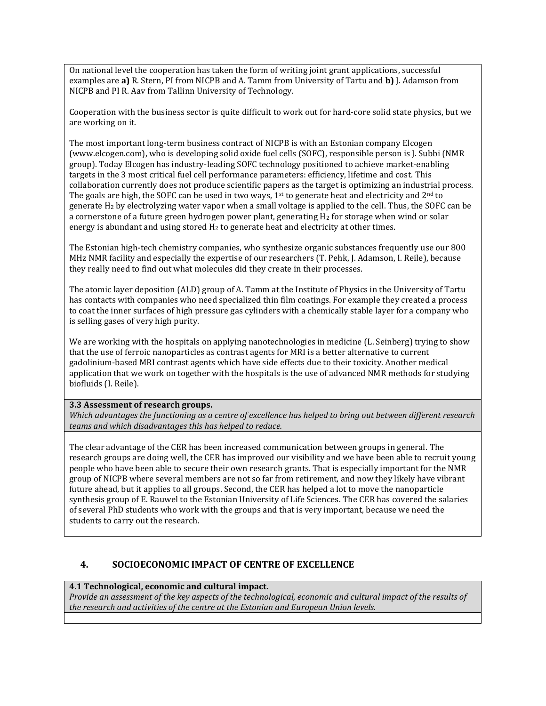On national level the cooperation has taken the form of writing joint grant applications, successful examples are **a)** R. Stern, PI from NICPB and A. Tamm from University of Tartu and **b)** J. Adamson from NICPB and PI R. Aav from Tallinn University of Technology.

Cooperation with the business sector is quite difficult to work out for hard-core solid state physics, but we are working on it.

The most important long-term business contract of NICPB is with an Estonian company Elcogen (www.elcogen.com), who is developing solid oxide fuel cells (SOFC), responsible person is J. Subbi (NMR group). Today Elcogen has industry-leading SOFC technology positioned to achieve market-enabling targets in the 3 most critical fuel cell performance parameters: efficiency, lifetime and cost. This collaboration currently does not produce scientific papers as the target is optimizing an industrial process. The goals are high, the SOFC can be used in two ways,  $1<sup>st</sup>$  to generate heat and electricity and  $2<sup>nd</sup>$  to generate H<sup>2</sup> by electrolyzing water vapor when a small voltage is applied to the cell. Thus, the SOFC can be a cornerstone of a future green hydrogen power plant, generating  $H_2$  for storage when wind or solar energy is abundant and using stored  $H_2$  to generate heat and electricity at other times.

The Estonian high-tech chemistry companies, who synthesize organic substances frequently use our 800 MHz NMR facility and especially the expertise of our researchers (T. Pehk, J. Adamson, I. Reile), because they really need to find out what molecules did they create in their processes.

The atomic layer deposition (ALD) group of A. Tamm at the Institute of Physics in the University of Tartu has contacts with companies who need specialized thin film coatings. For example they created a process to coat the inner surfaces of high pressure gas cylinders with a chemically stable layer for a company who is selling gases of very high purity.

We are working with the hospitals on applying nanotechnologies in medicine (L. Seinberg) trying to show that the use of ferroic nanoparticles as contrast agents for MRI is a better alternative to current gadolinium-based MRI contrast agents which have side effects due to their toxicity. Another medical application that we work on together with the hospitals is the use of advanced NMR methods for studying biofluids (I. Reile).

#### **3.3 Assessment of research groups.**

*Which advantages the functioning as a centre of excellence has helped to bring out between different research teams and which disadvantages this has helped to reduce.*

The clear advantage of the CER has been increased communication between groups in general. The research groups are doing well, the CER has improved our visibility and we have been able to recruit young people who have been able to secure their own research grants. That is especially important for the NMR group of NICPB where several members are not so far from retirement, and now they likely have vibrant future ahead, but it applies to all groups. Second, the CER has helped a lot to move the nanoparticle synthesis group of E. Rauwel to the Estonian University of Life Sciences. The CER has covered the salaries of several PhD students who work with the groups and that is very important, because we need the students to carry out the research.

#### **4. SOCIOECONOMIC IMPACT OF CENTRE OF EXCELLENCE**

#### **4.1 Technological, economic and cultural impact.**

*Provide an assessment of the key aspects of the technological, economic and cultural impact of the results of the research and activities of the centre at the Estonian and European Union levels.*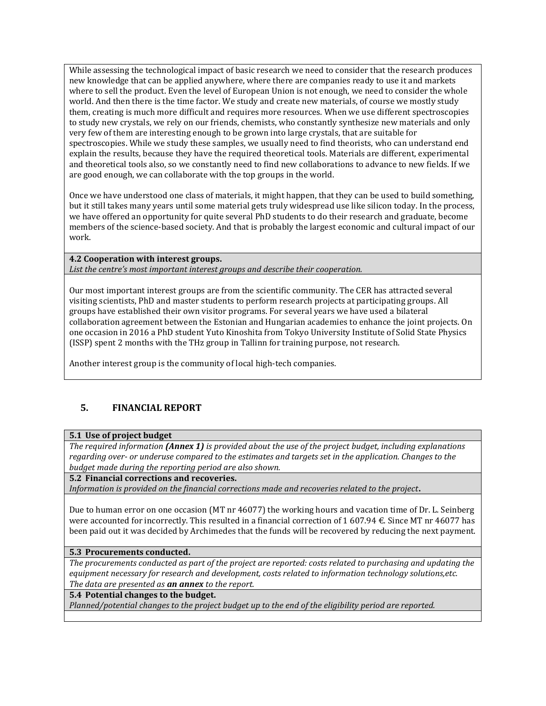While assessing the technological impact of basic research we need to consider that the research produces new knowledge that can be applied anywhere, where there are companies ready to use it and markets where to sell the product. Even the level of European Union is not enough, we need to consider the whole world. And then there is the time factor. We study and create new materials, of course we mostly study them, creating is much more difficult and requires more resources. When we use different spectroscopies to study new crystals, we rely on our friends, chemists, who constantly synthesize new materials and only very few of them are interesting enough to be grown into large crystals, that are suitable for spectroscopies. While we study these samples, we usually need to find theorists, who can understand end explain the results, because they have the required theoretical tools. Materials are different, experimental and theoretical tools also, so we constantly need to find new collaborations to advance to new fields. If we are good enough, we can collaborate with the top groups in the world.

Once we have understood one class of materials, it might happen, that they can be used to build something, but it still takes many years until some material gets truly widespread use like silicon today. In the process, we have offered an opportunity for quite several PhD students to do their research and graduate, become members of the science-based society. And that is probably the largest economic and cultural impact of our work.

**4.2 Cooperation with interest groups.**  *List the centre's most important interest groups and describe their cooperation.*

Our most important interest groups are from the scientific community. The CER has attracted several visiting scientists, PhD and master students to perform research projects at participating groups. All groups have established their own visitor programs. For several years we have used a bilateral collaboration agreement between the Estonian and Hungarian academies to enhance the joint projects. On one occasion in 2016 a PhD student Yuto Kinoshita from Tokyo University Institute of Solid State Physics (ISSP) spent 2 months with the THz group in Tallinn for training purpose, not research.

Another interest group is the community of local high-tech companies.

### **5. FINANCIAL REPORT**

#### **5.1 Use of project budget**

*The required information (Annex 1) is provided about the use of the project budget, including explanations regarding over- or underuse compared to the estimates and targets set in the application. Changes to the budget made during the reporting period are also shown.*

**5.2 Financial corrections and recoveries.** 

*Information is provided on the financial corrections made and recoveries related to the project***.**

Due to human error on one occasion (MT nr 46077) the working hours and vacation time of Dr. L. Seinberg were accounted for incorrectly. This resulted in a financial correction of 1 607.94 €. Since MT nr 46077 has been paid out it was decided by Archimedes that the funds will be recovered by reducing the next payment.

#### **5.3 Procurements conducted.**

*The procurements conducted as part of the project are reported: costs related to purchasing and updating the equipment necessary for research and development, costs related to information technology solutions,etc. The data are presented as an annex to the report.*

### **5.4 Potential changes to the budget.**

*Planned/potential changes to the project budget up to the end of the eligibility period are reported.*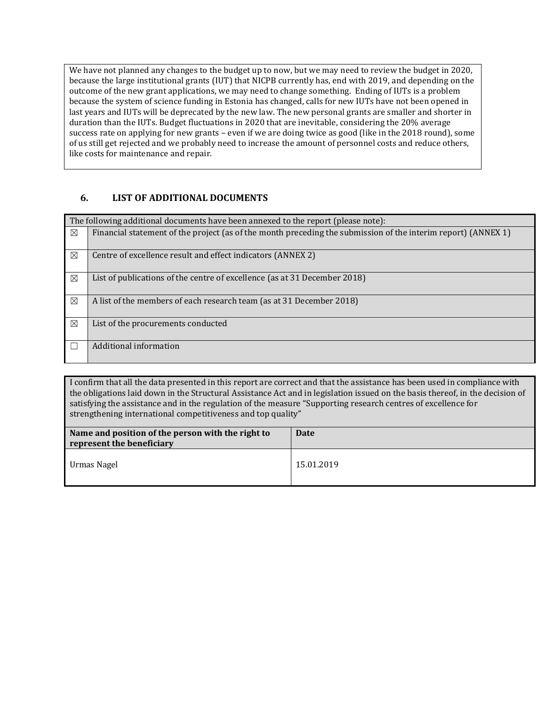We have not planned any changes to the budget up to now, but we may need to review the budget in 2020, because the large institutional grants (IUT) that NICPB currently has, end with 2019, and depending on the outcome of the new grant applications, we may need to change something. Ending of IUTs is a problem because the system of science funding in Estonia has changed, calls for new IUTs have not been opened in last years and IUTs will be deprecated by the new law. The new personal grants are smaller and shorter in duration than the IUTs. Budget fluctuations in 2020 that are inevitable, considering the 20% average success rate on applying for new grants – even if we are doing twice as good (like in the 2018 round), some of us still get rejected and we probably need to increase the amount of personnel costs and reduce others, like costs for maintenance and repair.

### **6. LIST OF ADDITIONAL DOCUMENTS**

|             | The following additional documents have been annexed to the report (please note):                             |
|-------------|---------------------------------------------------------------------------------------------------------------|
| $\boxtimes$ | Financial statement of the project (as of the month preceding the submission of the interim report) (ANNEX 1) |
|             |                                                                                                               |
| $\boxtimes$ | Centre of excellence result and effect indicators (ANNEX 2)                                                   |
| $\boxtimes$ | List of publications of the centre of excellence (as at 31 December 2018)                                     |
| $\boxtimes$ | A list of the members of each research team (as at 31 December 2018)                                          |
| ⊠           | List of the procurements conducted                                                                            |
|             | Additional information                                                                                        |

I confirm that all the data presented in this report are correct and that the assistance has been used in compliance with the obligations laid down in the Structural Assistance Act and in legislation issued on the basis thereof, in the decision of satisfying the assistance and in the regulation of the measure "Supporting research centres of excellence for strengthening international competitiveness and top quality"

| Name and position of the person with the right to<br>represent the beneficiary | <b>Date</b> |
|--------------------------------------------------------------------------------|-------------|
| Urmas Nagel                                                                    | 15.01.2019  |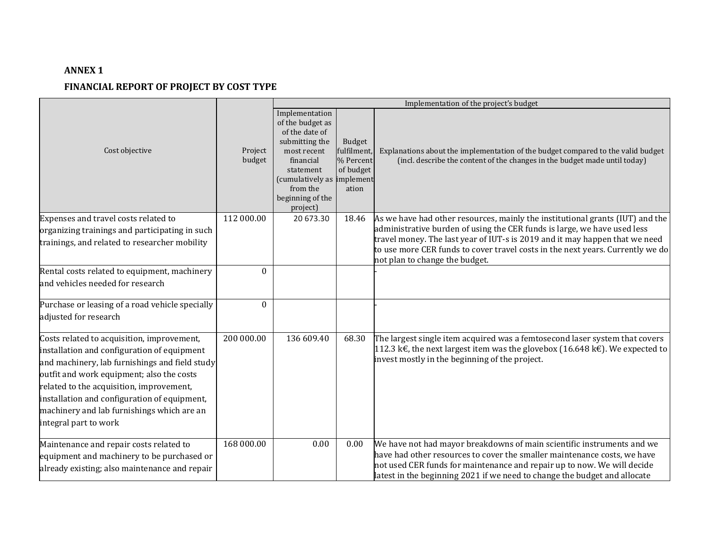## **ANNEX 1**

### **FINANCIAL REPORT OF PROJECT BY COST TYPE**

|                                                                                                                                                                                                                                                                                                                                                             |                   | Implementation of the project's budget                                                                                                                                                    |                                                          |                                                                                                                                                                                                                                                                                                            |  |
|-------------------------------------------------------------------------------------------------------------------------------------------------------------------------------------------------------------------------------------------------------------------------------------------------------------------------------------------------------------|-------------------|-------------------------------------------------------------------------------------------------------------------------------------------------------------------------------------------|----------------------------------------------------------|------------------------------------------------------------------------------------------------------------------------------------------------------------------------------------------------------------------------------------------------------------------------------------------------------------|--|
| Cost objective                                                                                                                                                                                                                                                                                                                                              | Project<br>budget | Implementation<br>of the budget as<br>of the date of<br>submitting the<br>most recent<br>financial<br>statement<br>(cumulatively as implement<br>from the<br>beginning of the<br>project) | Budget<br>fulfilment,<br>% Percent<br>of budget<br>ation | Explanations about the implementation of the budget compared to the valid budget<br>(incl. describe the content of the changes in the budget made until today)                                                                                                                                             |  |
| Expenses and travel costs related to                                                                                                                                                                                                                                                                                                                        | 112 000.00        | 20 673.30                                                                                                                                                                                 | 18.46                                                    | As we have had other resources, mainly the institutional grants (IUT) and the                                                                                                                                                                                                                              |  |
| organizing trainings and participating in such                                                                                                                                                                                                                                                                                                              |                   |                                                                                                                                                                                           |                                                          | administrative burden of using the CER funds is large, we have used less                                                                                                                                                                                                                                   |  |
| trainings, and related to researcher mobility                                                                                                                                                                                                                                                                                                               |                   |                                                                                                                                                                                           |                                                          | travel money. The last year of IUT-s is 2019 and it may happen that we need<br>to use more CER funds to cover travel costs in the next years. Currently we do<br>not plan to change the budget.                                                                                                            |  |
| Rental costs related to equipment, machinery                                                                                                                                                                                                                                                                                                                | $\mathbf{0}$      |                                                                                                                                                                                           |                                                          |                                                                                                                                                                                                                                                                                                            |  |
| and vehicles needed for research                                                                                                                                                                                                                                                                                                                            |                   |                                                                                                                                                                                           |                                                          |                                                                                                                                                                                                                                                                                                            |  |
| Purchase or leasing of a road vehicle specially<br>adjusted for research                                                                                                                                                                                                                                                                                    | $\theta$          |                                                                                                                                                                                           |                                                          |                                                                                                                                                                                                                                                                                                            |  |
| Costs related to acquisition, improvement,<br>installation and configuration of equipment<br>and machinery, lab furnishings and field study<br>outfit and work equipment; also the costs<br>related to the acquisition, improvement,<br>installation and configuration of equipment,<br>machinery and lab furnishings which are an<br>integral part to work | 200 000.00        | 136 609.40                                                                                                                                                                                | 68.30                                                    | The largest single item acquired was a femtosecond laser system that covers<br>112.3 k€, the next largest item was the glovebox (16.648 k€). We expected to<br>invest mostly in the beginning of the project.                                                                                              |  |
| Maintenance and repair costs related to<br>equipment and machinery to be purchased or<br>already existing; also maintenance and repair                                                                                                                                                                                                                      | 168 000.00        | 0.00                                                                                                                                                                                      | 0.00                                                     | We have not had mayor breakdowns of main scientific instruments and we<br>have had other resources to cover the smaller maintenance costs, we have<br>not used CER funds for maintenance and repair up to now. We will decide<br>latest in the beginning 2021 if we need to change the budget and allocate |  |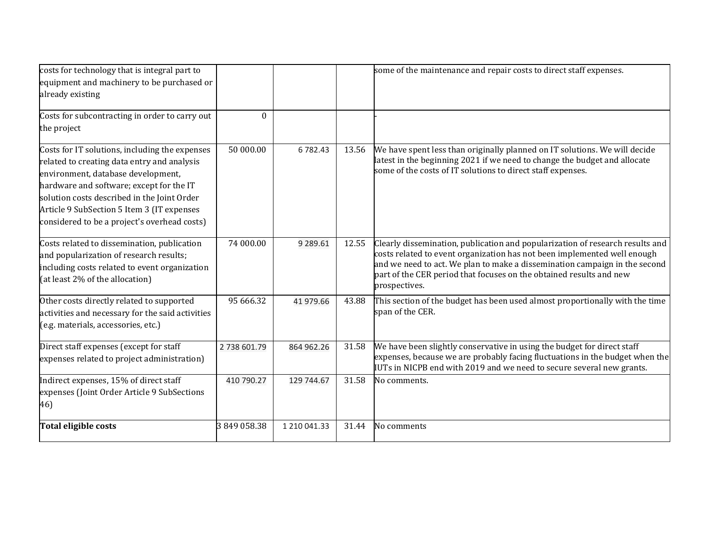| costs for technology that is integral part to                                                                                                                                                                                                                                                                                |             |              |       | some of the maintenance and repair costs to direct staff expenses.                                                                                                                                                                                                                                                              |
|------------------------------------------------------------------------------------------------------------------------------------------------------------------------------------------------------------------------------------------------------------------------------------------------------------------------------|-------------|--------------|-------|---------------------------------------------------------------------------------------------------------------------------------------------------------------------------------------------------------------------------------------------------------------------------------------------------------------------------------|
| equipment and machinery to be purchased or                                                                                                                                                                                                                                                                                   |             |              |       |                                                                                                                                                                                                                                                                                                                                 |
| already existing                                                                                                                                                                                                                                                                                                             |             |              |       |                                                                                                                                                                                                                                                                                                                                 |
| Costs for subcontracting in order to carry out<br>the project                                                                                                                                                                                                                                                                | $\theta$    |              |       |                                                                                                                                                                                                                                                                                                                                 |
| Costs for IT solutions, including the expenses<br>related to creating data entry and analysis<br>environment, database development,<br>hardware and software; except for the IT<br>solution costs described in the Joint Order<br>Article 9 SubSection 5 Item 3 (IT expenses<br>considered to be a project's overhead costs) | 50 000.00   | 6782.43      | 13.56 | We have spent less than originally planned on IT solutions. We will decide<br>latest in the beginning 2021 if we need to change the budget and allocate<br>some of the costs of IT solutions to direct staff expenses.                                                                                                          |
| Costs related to dissemination, publication<br>and popularization of research results;<br>including costs related to event organization<br>(at least 2% of the allocation)                                                                                                                                                   | 74 000.00   | 9 289.61     | 12.55 | Clearly dissemination, publication and popularization of research results and<br>costs related to event organization has not been implemented well enough<br>and we need to act. We plan to make a dissemination campaign in the second<br>part of the CER period that focuses on the obtained results and new<br>prospectives. |
| Other costs directly related to supported<br>activities and necessary for the said activities<br>(e.g. materials, accessories, etc.)                                                                                                                                                                                         | 95 666.32   | 41 979.66    | 43.88 | This section of the budget has been used almost proportionally with the time<br>span of the CER.                                                                                                                                                                                                                                |
| Direct staff expenses (except for staff<br>expenses related to project administration)                                                                                                                                                                                                                                       | 2738 601.79 | 864 962.26   | 31.58 | We have been slightly conservative in using the budget for direct staff<br>expenses, because we are probably facing fluctuations in the budget when the<br>IUTs in NICPB end with 2019 and we need to secure several new grants.                                                                                                |
| Indirect expenses, 15% of direct staff<br>expenses (Joint Order Article 9 SubSections<br>46)                                                                                                                                                                                                                                 | 410 790.27  | 129 744.67   | 31.58 | No comments.                                                                                                                                                                                                                                                                                                                    |
| Total eligible costs                                                                                                                                                                                                                                                                                                         | 3849058.38  | 1 210 041.33 | 31.44 | No comments                                                                                                                                                                                                                                                                                                                     |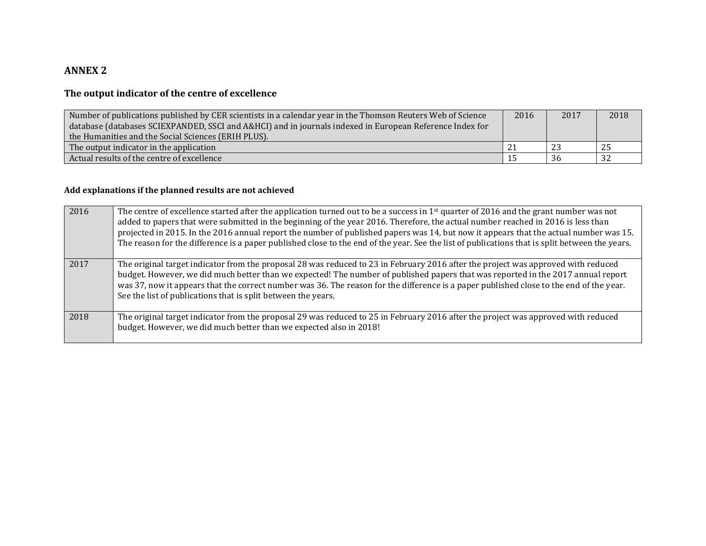## **ANNEX 2**

## **The output indicator of the centre of excellence**

| Number of publications published by CER scientists in a calendar year in the Thomson Reuters Web of Science<br>database (databases SCIEXPANDED, SSCI and A&HCI) and in journals indexed in European Reference Index for<br>the Humanities and the Social Sciences (ERIH PLUS). |  | 2017 | 2018 |
|--------------------------------------------------------------------------------------------------------------------------------------------------------------------------------------------------------------------------------------------------------------------------------|--|------|------|
| The output indicator in the application                                                                                                                                                                                                                                        |  | -23  | 25   |
| Actual results of the centre of excellence                                                                                                                                                                                                                                     |  | 36   | -32  |

### **Add explanations if the planned results are not achieved**

| 2016 | The centre of excellence started after the application turned out to be a success in 1 <sup>st</sup> quarter of 2016 and the grant number was not<br>added to papers that were submitted in the beginning of the year 2016. Therefore, the actual number reached in 2016 is less than<br>projected in 2015. In the 2016 annual report the number of published papers was 14, but now it appears that the actual number was 15.<br>The reason for the difference is a paper published close to the end of the year. See the list of publications that is split between the years. |
|------|----------------------------------------------------------------------------------------------------------------------------------------------------------------------------------------------------------------------------------------------------------------------------------------------------------------------------------------------------------------------------------------------------------------------------------------------------------------------------------------------------------------------------------------------------------------------------------|
| 2017 | The original target indicator from the proposal 28 was reduced to 23 in February 2016 after the project was approved with reduced<br>budget. However, we did much better than we expected! The number of published papers that was reported in the 2017 annual report<br>was 37, now it appears that the correct number was 36. The reason for the difference is a paper published close to the end of the year.<br>See the list of publications that is split between the years.                                                                                                |
| 2018 | The original target indicator from the proposal 29 was reduced to 25 in February 2016 after the project was approved with reduced<br>budget. However, we did much better than we expected also in 2018!                                                                                                                                                                                                                                                                                                                                                                          |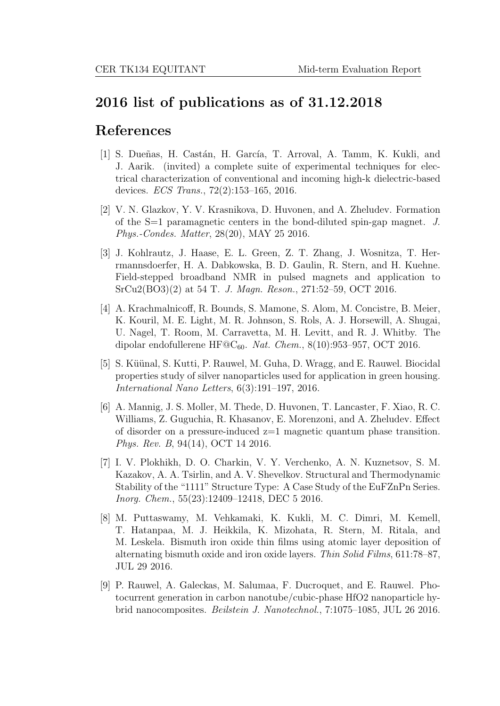## 2016 list of publications as of 31.12.2018

## References

- [1] S. Dueñas, H. Castán, H. García, T. Arroval, A. Tamm, K. Kukli, and J. Aarik. (invited) a complete suite of experimental techniques for electrical characterization of conventional and incoming high-k dielectric-based devices. ECS Trans., 72(2):153–165, 2016.
- [2] V. N. Glazkov, Y. V. Krasnikova, D. Huvonen, and A. Zheludev. Formation of the  $S=1$  paramagnetic centers in the bond-diluted spin-gap magnet. J. Phys.-Condes. Matter, 28(20), MAY 25 2016.
- [3] J. Kohlrautz, J. Haase, E. L. Green, Z. T. Zhang, J. Wosnitza, T. Herrmannsdoerfer, H. A. Dabkowska, B. D. Gaulin, R. Stern, and H. Kuehne. Field-stepped broadband NMR in pulsed magnets and application to SrCu2(BO3)(2) at 54 T. J. Magn. Reson., 271:52–59, OCT 2016.
- [4] A. Krachmalnicoff, R. Bounds, S. Mamone, S. Alom, M. Concistre, B. Meier, K. Kouril, M. E. Light, M. R. Johnson, S. Rols, A. J. Horsewill, A. Shugai, U. Nagel, T. Room, M. Carravetta, M. H. Levitt, and R. J. Whitby. The dipolar endofullerene HF $\mathcal{O}_6$ 60. Nat. Chem., 8(10):953–957, OCT 2016.
- [5] S. Küünal, S. Kutti, P. Rauwel, M. Guha, D. Wragg, and E. Rauwel. Biocidal properties study of silver nanoparticles used for application in green housing. International Nano Letters, 6(3):191–197, 2016.
- [6] A. Mannig, J. S. Moller, M. Thede, D. Huvonen, T. Lancaster, F. Xiao, R. C. Williams, Z. Guguchia, R. Khasanov, E. Morenzoni, and A. Zheludev. Effect of disorder on a pressure-induced  $z=1$  magnetic quantum phase transition. Phys. Rev. B, 94(14), OCT 14 2016.
- [7] I. V. Plokhikh, D. O. Charkin, V. Y. Verchenko, A. N. Kuznetsov, S. M. Kazakov, A. A. Tsirlin, and A. V. Shevelkov. Structural and Thermodynamic Stability of the "1111" Structure Type: A Case Study of the EuFZnPn Series. Inorg. Chem., 55(23):12409–12418, DEC 5 2016.
- [8] M. Puttaswamy, M. Vehkamaki, K. Kukli, M. C. Dimri, M. Kemell, T. Hatanpaa, M. J. Heikkila, K. Mizohata, R. Stern, M. Ritala, and M. Leskela. Bismuth iron oxide thin films using atomic layer deposition of alternating bismuth oxide and iron oxide layers. Thin Solid Films, 611:78–87, JUL 29 2016.
- [9] P. Rauwel, A. Galeckas, M. Salumaa, F. Ducroquet, and E. Rauwel. Photocurrent generation in carbon nanotube/cubic-phase HfO2 nanoparticle hybrid nanocomposites. Beilstein J. Nanotechnol., 7:1075–1085, JUL 26 2016.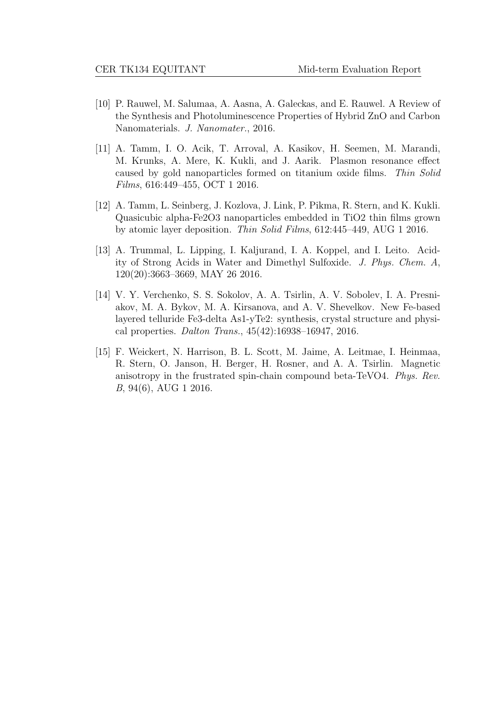- [10] P. Rauwel, M. Salumaa, A. Aasna, A. Galeckas, and E. Rauwel. A Review of the Synthesis and Photoluminescence Properties of Hybrid ZnO and Carbon Nanomaterials. J. Nanomater., 2016.
- [11] A. Tamm, I. O. Acik, T. Arroval, A. Kasikov, H. Seemen, M. Marandi, M. Krunks, A. Mere, K. Kukli, and J. Aarik. Plasmon resonance effect caused by gold nanoparticles formed on titanium oxide films. Thin Solid Films, 616:449–455, OCT 1 2016.
- [12] A. Tamm, L. Seinberg, J. Kozlova, J. Link, P. Pikma, R. Stern, and K. Kukli. Quasicubic alpha-Fe2O3 nanoparticles embedded in TiO2 thin films grown by atomic layer deposition. Thin Solid Films, 612:445–449, AUG 1 2016.
- [13] A. Trummal, L. Lipping, I. Kaljurand, I. A. Koppel, and I. Leito. Acidity of Strong Acids in Water and Dimethyl Sulfoxide. J. Phys. Chem. A, 120(20):3663–3669, MAY 26 2016.
- [14] V. Y. Verchenko, S. S. Sokolov, A. A. Tsirlin, A. V. Sobolev, I. A. Presniakov, M. A. Bykov, M. A. Kirsanova, and A. V. Shevelkov. New Fe-based layered telluride Fe3-delta As1-yTe2: synthesis, crystal structure and physical properties. Dalton Trans., 45(42):16938–16947, 2016.
- [15] F. Weickert, N. Harrison, B. L. Scott, M. Jaime, A. Leitmae, I. Heinmaa, R. Stern, O. Janson, H. Berger, H. Rosner, and A. A. Tsirlin. Magnetic anisotropy in the frustrated spin-chain compound beta-TeVO4. Phys. Rev. B, 94(6), AUG 1 2016.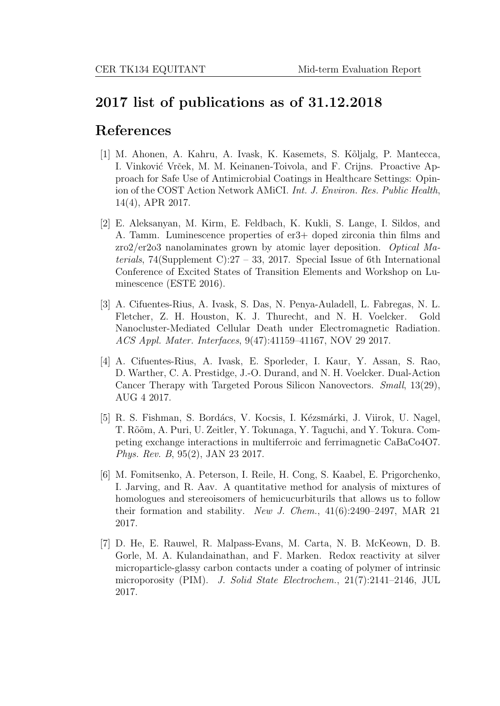## 2017 list of publications as of 31.12.2018

## References

- [1] M. Ahonen, A. Kahru, A. Ivask, K. Kasemets, S. K˜oljalg, P. Mantecca, I. Vinković Vrček, M. M. Keinanen-Toivola, and F. Crijns. Proactive Approach for Safe Use of Antimicrobial Coatings in Healthcare Settings: Opinion of the COST Action Network AMiCI. Int. J. Environ. Res. Public Health, 14(4), APR 2017.
- [2] E. Aleksanyan, M. Kirm, E. Feldbach, K. Kukli, S. Lange, I. Sildos, and A. Tamm. Luminescence properties of er3+ doped zirconia thin films and zro2/er2o3 nanolaminates grown by atomic layer deposition. Optical Materials, 74(Supplement C):27 – 33, 2017. Special Issue of 6th International Conference of Excited States of Transition Elements and Workshop on Luminescence (ESTE 2016).
- [3] A. Cifuentes-Rius, A. Ivask, S. Das, N. Penya-Auladell, L. Fabregas, N. L. Fletcher, Z. H. Houston, K. J. Thurecht, and N. H. Voelcker. Gold Nanocluster-Mediated Cellular Death under Electromagnetic Radiation. ACS Appl. Mater. Interfaces, 9(47):41159–41167, NOV 29 2017.
- [4] A. Cifuentes-Rius, A. Ivask, E. Sporleder, I. Kaur, Y. Assan, S. Rao, D. Warther, C. A. Prestidge, J.-O. Durand, and N. H. Voelcker. Dual-Action Cancer Therapy with Targeted Porous Silicon Nanovectors. Small, 13(29), AUG 4 2017.
- [5] R. S. Fishman, S. Bordács, V. Kocsis, I. Kézsmárki, J. Viirok, U. Nagel, T. Rõõm, A. Puri, U. Zeitler, Y. Tokunaga, Y. Taguchi, and Y. Tokura. Competing exchange interactions in multiferroic and ferrimagnetic CaBaCo4O7. Phys. Rev. B, 95(2), JAN 23 2017.
- [6] M. Fomitsenko, A. Peterson, I. Reile, H. Cong, S. Kaabel, E. Prigorchenko, I. Jarving, and R. Aav. A quantitative method for analysis of mixtures of homologues and stereoisomers of hemicucurbiturils that allows us to follow their formation and stability. New J. Chem.,  $41(6):2490-2497$ , MAR 21 2017.
- [7] D. He, E. Rauwel, R. Malpass-Evans, M. Carta, N. B. McKeown, D. B. Gorle, M. A. Kulandainathan, and F. Marken. Redox reactivity at silver microparticle-glassy carbon contacts under a coating of polymer of intrinsic microporosity (PIM). J. Solid State Electrochem., 21(7):2141–2146, JUL 2017.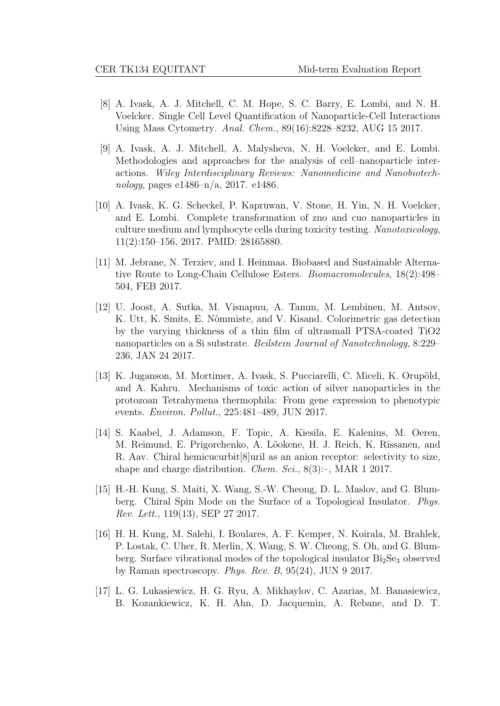- [8] A. Ivask, A. J. Mitchell, C. M. Hope, S. C. Barry, E. Lombi, and N. H. Voelcker. Single Cell Level Quantification of Nanoparticle-Cell Interactions Using Mass Cytometry. Anal. Chem., 89(16):8228–8232, AUG 15 2017.
- [9] A. Ivask, A. J. Mitchell, A. Malysheva, N. H. Voelcker, and E. Lombi. Methodologies and approaches for the analysis of cell–nanoparticle interactions. Wiley Interdisciplinary Reviews: Nanomedicine and Nanobiotechnology, pages e1486–n/a, 2017. e1486.
- [10] A. Ivask, K. G. Scheckel, P. Kapruwan, V. Stone, H. Yin, N. H. Voelcker, and E. Lombi. Complete transformation of zno and cuo nanoparticles in culture medium and lymphocyte cells during toxicity testing. Nanotoxicology, 11(2):150–156, 2017. PMID: 28165880.
- [11] M. Jebrane, N. Terziev, and I. Heinmaa. Biobased and Sustainable Alternative Route to Long-Chain Cellulose Esters. Biomacromolecules, 18(2):498– 504, FEB 2017.
- [12] U. Joost, A. Sutka, M. Visnapuu, A. Tamm, M. Lembinen, M. Antsov, K. Utt, K. Smits, E. Nõmmiste, and V. Kisand. Colorimetric gas detection by the varying thickness of a thin film of ultrasmall PTSA-coated TiO2 nanoparticles on a Si substrate. Beilstein Journal of Nanotechnology, 8:229– 236, JAN 24 2017.
- [13] K. Juganson, M. Mortimer, A. Ivask, S. Pucciarelli, C. Miceli, K. Orupõld, and A. Kahru. Mechanisms of toxic action of silver nanoparticles in the protozoan Tetrahymena thermophila: From gene expression to phenotypic events. Environ. Pollut., 225:481–489, JUN 2017.
- [14] S. Kaabel, J. Adamson, F. Topic, A. Kiesila, E. Kalenius, M. Oeren, M. Reimund, E. Prigorchenko, A. L˜ookene, H. J. Reich, K. Rissanen, and R. Aav. Chiral hemicucurbit[8]uril as an anion receptor: selectivity to size, shape and charge distribution. *Chem. Sci.*,  $8(3)$ :–, MAR 1 2017.
- [15] H.-H. Kung, S. Maiti, X. Wang, S.-W. Cheong, D. L. Maslov, and G. Blumberg. Chiral Spin Mode on the Surface of a Topological Insulator. Phys. Rev. Lett., 119(13), SEP 27 2017.
- [16] H. H. Kung, M. Salehi, I. Boulares, A. F. Kemper, N. Koirala, M. Brahlek, P. Lostak, C. Uher, R. Merlin, X. Wang, S. W. Cheong, S. Oh, and G. Blumberg. Surface vibrational modes of the topological insulator  $Bi<sub>2</sub>Se<sub>3</sub>$  observed by Raman spectroscopy. Phys. Rev. B, 95(24), JUN 9 2017.
- [17] L. G. Lukasiewicz, H. G. Ryu, A. Mikhaylov, C. Azarias, M. Banasiewicz, B. Kozankiewicz, K. H. Ahn, D. Jacquemin, A. Rebane, and D. T.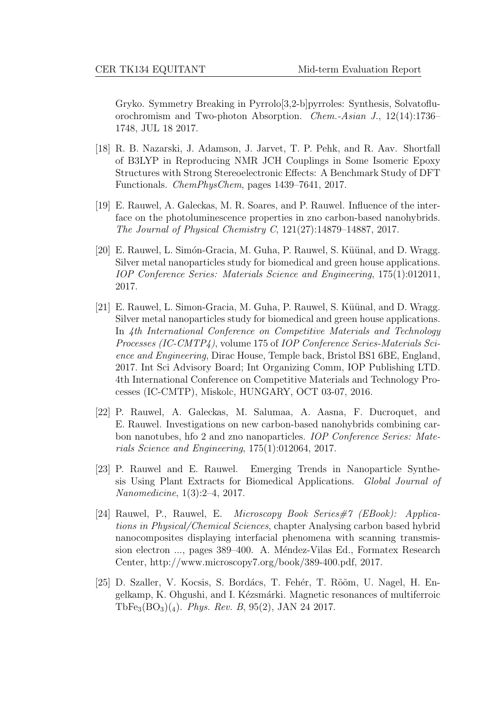Gryko. Symmetry Breaking in Pyrrolo[3,2-b]pyrroles: Synthesis, Solvatofluorochromism and Two-photon Absorption. Chem.-Asian J., 12(14):1736– 1748, JUL 18 2017.

- [18] R. B. Nazarski, J. Adamson, J. Jarvet, T. P. Pehk, and R. Aav. Shortfall of B3LYP in Reproducing NMR JCH Couplings in Some Isomeric Epoxy Structures with Strong Stereoelectronic Effects: A Benchmark Study of DFT Functionals. ChemPhysChem, pages 1439–7641, 2017.
- [19] E. Rauwel, A. Galeckas, M. R. Soares, and P. Rauwel. Influence of the interface on the photoluminescence properties in zno carbon-based nanohybrids. The Journal of Physical Chemistry C, 121(27):14879–14887, 2017.
- [20] E. Rauwel, L. Simón-Gracia, M. Guha, P. Rauwel, S. Küünal, and D. Wragg. Silver metal nanoparticles study for biomedical and green house applications. IOP Conference Series: Materials Science and Engineering, 175(1):012011, 2017.
- [21] E. Rauwel, L. Simon-Gracia, M. Guha, P. Rauwel, S. Küünal, and D. Wragg. Silver metal nanoparticles study for biomedical and green house applications. In 4th International Conference on Competitive Materials and Technology Processes (IC-CMTP4), volume 175 of IOP Conference Series-Materials Science and Engineering, Dirac House, Temple back, Bristol BS1 6BE, England, 2017. Int Sci Advisory Board; Int Organizing Comm, IOP Publishing LTD. 4th International Conference on Competitive Materials and Technology Processes (IC-CMTP), Miskolc, HUNGARY, OCT 03-07, 2016.
- [22] P. Rauwel, A. Galeckas, M. Salumaa, A. Aasna, F. Ducroquet, and E. Rauwel. Investigations on new carbon-based nanohybrids combining carbon nanotubes, hfo 2 and zno nanoparticles. IOP Conference Series: Materials Science and Engineering, 175(1):012064, 2017.
- [23] P. Rauwel and E. Rauwel. Emerging Trends in Nanoparticle Synthesis Using Plant Extracts for Biomedical Applications. Global Journal of Nanomedicine, 1(3):2–4, 2017.
- [24] Rauwel, P., Rauwel, E. Microscopy Book Series#7 (EBook): Applications in Physical/Chemical Sciences, chapter Analysing carbon based hybrid nanocomposites displaying interfacial phenomena with scanning transmission electron ..., pages 389–400. A. Méndez-Vilas Ed., Formatex Research Center, http://www.microscopy7.org/book/389-400.pdf, 2017.
- [25] D. Szaller, V. Kocsis, S. Bordács, T. Fehér, T. Rõõm, U. Nagel, H. Engelkamp, K. Ohgushi, and I. Kézsmárki. Magnetic resonances of multiferroic TbFe<sub>3</sub>(BO<sub>3</sub>)(4). *Phys. Rev. B*, 95(2), JAN 24 2017.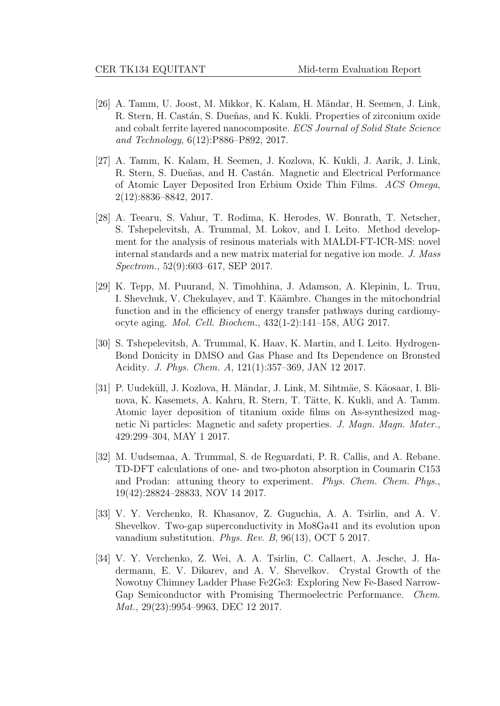- [26] A. Tamm, U. Joost, M. Mikkor, K. Kalam, H. M¨andar, H. Seemen, J. Link, R. Stern, H. Castán, S. Dueñas, and K. Kukli. Properties of zirconium oxide and cobalt ferrite layered nanocomposite. ECS Journal of Solid State Science and Technology, 6(12):P886–P892, 2017.
- [27] A. Tamm, K. Kalam, H. Seemen, J. Kozlova, K. Kukli, J. Aarik, J. Link, R. Stern, S. Dueñas, and H. Castán. Magnetic and Electrical Performance of Atomic Layer Deposited Iron Erbium Oxide Thin Films. ACS Omega, 2(12):8836–8842, 2017.
- [28] A. Teearu, S. Vahur, T. Rodima, K. Herodes, W. Bonrath, T. Netscher, S. Tshepelevitsh, A. Trummal, M. Lokov, and I. Leito. Method development for the analysis of resinous materials with MALDI-FT-ICR-MS: novel internal standards and a new matrix material for negative ion mode. J. Mass Spectrom., 52(9):603–617, SEP 2017.
- [29] K. Tepp, M. Puurand, N. Timohhina, J. Adamson, A. Klepinin, L. Truu, I. Shevchuk, V. Chekulayev, and T. Käämbre. Changes in the mitochondrial function and in the efficiency of energy transfer pathways during cardiomyocyte aging. Mol. Cell. Biochem., 432(1-2):141–158, AUG 2017.
- [30] S. Tshepelevitsh, A. Trummal, K. Haav, K. Martin, and I. Leito. Hydrogen-Bond Donicity in DMSO and Gas Phase and Its Dependence on Bronsted Acidity. J. Phys. Chem. A, 121(1):357–369, JAN 12 2017.
- [31] P. Uudeküll, J. Kozlova, H. Mändar, J. Link, M. Sihtmäe, S. Käosaar, I. Blinova, K. Kasemets, A. Kahru, R. Stern, T. Tätte, K. Kukli, and A. Tamm. Atomic layer deposition of titanium oxide films on As-synthesized magnetic Ni particles: Magnetic and safety properties. J. Magn. Magn. Mater., 429:299–304, MAY 1 2017.
- [32] M. Uudsemaa, A. Trummal, S. de Reguardati, P. R. Callis, and A. Rebane. TD-DFT calculations of one- and two-photon absorption in Coumarin C153 and Prodan: attuning theory to experiment. Phys. Chem. Chem. Phys., 19(42):28824–28833, NOV 14 2017.
- [33] V. Y. Verchenko, R. Khasanov, Z. Guguchia, A. A. Tsirlin, and A. V. Shevelkov. Two-gap superconductivity in Mo8Ga41 and its evolution upon vanadium substitution. Phys. Rev. B, 96(13), OCT 5 2017.
- [34] V. Y. Verchenko, Z. Wei, A. A. Tsirlin, C. Callaert, A. Jesche, J. Hadermann, E. V. Dikarev, and A. V. Shevelkov. Crystal Growth of the Nowotny Chimney Ladder Phase Fe2Ge3: Exploring New Fe-Based Narrow-Gap Semiconductor with Promising Thermoelectric Performance. Chem. Mat., 29(23):9954–9963, DEC 12 2017.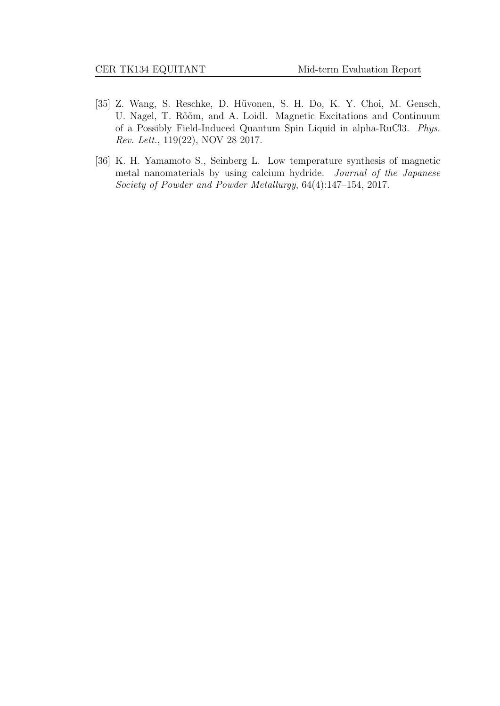- [35] Z. Wang, S. Reschke, D. Hüvonen, S. H. Do, K. Y. Choi, M. Gensch, U. Nagel, T. Rõõm, and A. Loidl. Magnetic Excitations and Continuum of a Possibly Field-Induced Quantum Spin Liquid in alpha-RuCl3. Phys. Rev. Lett., 119(22), NOV 28 2017.
- [36] K. H. Yamamoto S., Seinberg L. Low temperature synthesis of magnetic metal nanomaterials by using calcium hydride. Journal of the Japanese Society of Powder and Powder Metallurgy, 64(4):147–154, 2017.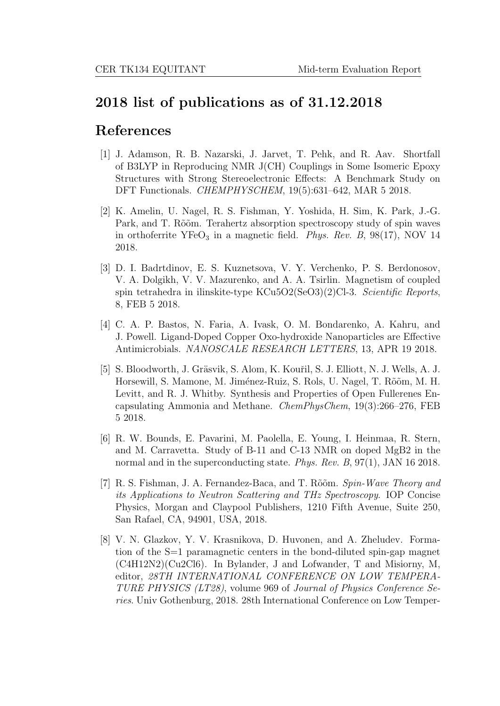## 2018 list of publications as of 31.12.2018

## References

- [1] J. Adamson, R. B. Nazarski, J. Jarvet, T. Pehk, and R. Aav. Shortfall of B3LYP in Reproducing NMR J(CH) Couplings in Some Isomeric Epoxy Structures with Strong Stereoelectronic Effects: A Benchmark Study on DFT Functionals. CHEMPHYSCHEM, 19(5):631–642, MAR 5 2018.
- [2] K. Amelin, U. Nagel, R. S. Fishman, Y. Yoshida, H. Sim, K. Park, J.-G. Park, and T. Rõõm. Terahertz absorption spectroscopy study of spin waves in orthoferrite  $YFeO<sub>3</sub>$  in a magnetic field. *Phys. Rev. B*,  $98(17)$ , NOV 14 2018.
- [3] D. I. Badrtdinov, E. S. Kuznetsova, V. Y. Verchenko, P. S. Berdonosov, V. A. Dolgikh, V. V. Mazurenko, and A. A. Tsirlin. Magnetism of coupled spin tetrahedra in ilinskite-type KCu5O2(SeO3)(2)Cl-3. Scientific Reports, 8, FEB 5 2018.
- [4] C. A. P. Bastos, N. Faria, A. Ivask, O. M. Bondarenko, A. Kahru, and J. Powell. Ligand-Doped Copper Oxo-hydroxide Nanoparticles are Effective Antimicrobials. NANOSCALE RESEARCH LETTERS, 13, APR 19 2018.
- [5] S. Bloodworth, J. Gräsvik, S. Alom, K. Kouřil, S. J. Elliott, N. J. Wells, A. J. Horsewill, S. Mamone, M. Jiménez-Ruiz, S. Rols, U. Nagel, T. Rõõm, M. H. Levitt, and R. J. Whitby. Synthesis and Properties of Open Fullerenes Encapsulating Ammonia and Methane. ChemPhysChem, 19(3):266–276, FEB 5 2018.
- [6] R. W. Bounds, E. Pavarini, M. Paolella, E. Young, I. Heinmaa, R. Stern, and M. Carravetta. Study of B-11 and C-13 NMR on doped MgB2 in the normal and in the superconducting state. Phys. Rev. B, 97(1), JAN 16 2018.
- [7] R. S. Fishman, J. A. Fernandez-Baca, and T. Rõõm. Spin-Wave Theory and its Applications to Neutron Scattering and THz Spectroscopy. IOP Concise Physics, Morgan and Claypool Publishers, 1210 Fifth Avenue, Suite 250, San Rafael, CA, 94901, USA, 2018.
- [8] V. N. Glazkov, Y. V. Krasnikova, D. Huvonen, and A. Zheludev. Formation of the S=1 paramagnetic centers in the bond-diluted spin-gap magnet (C4H12N2)(Cu2Cl6). In Bylander, J and Lofwander, T and Misiorny, M, editor, 28TH INTERNATIONAL CONFERENCE ON LOW TEMPERA-TURE PHYSICS (LT28), volume 969 of Journal of Physics Conference Series. Univ Gothenburg, 2018. 28th International Conference on Low Temper-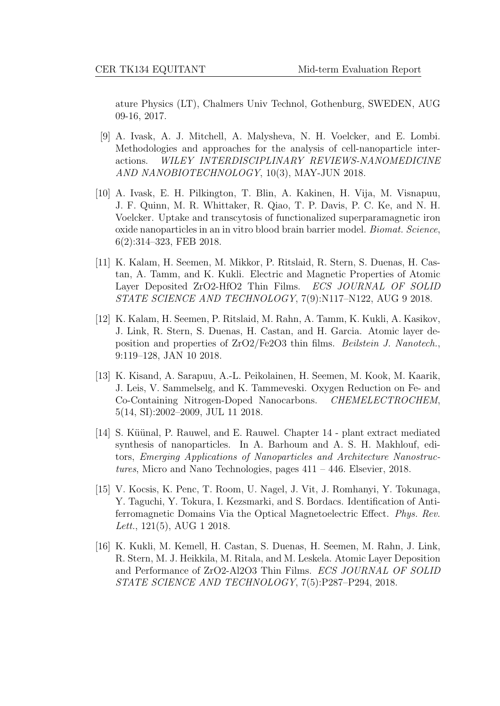ature Physics (LT), Chalmers Univ Technol, Gothenburg, SWEDEN, AUG 09-16, 2017.

- [9] A. Ivask, A. J. Mitchell, A. Malysheva, N. H. Voelcker, and E. Lombi. Methodologies and approaches for the analysis of cell-nanoparticle interactions. WILEY INTERDISCIPLINARY REVIEWS-NANOMEDICINE AND NANOBIOTECHNOLOGY, 10(3), MAY-JUN 2018.
- [10] A. Ivask, E. H. Pilkington, T. Blin, A. Kakinen, H. Vija, M. Visnapuu, J. F. Quinn, M. R. Whittaker, R. Qiao, T. P. Davis, P. C. Ke, and N. H. Voelcker. Uptake and transcytosis of functionalized superparamagnetic iron oxide nanoparticles in an in vitro blood brain barrier model. Biomat. Science, 6(2):314–323, FEB 2018.
- [11] K. Kalam, H. Seemen, M. Mikkor, P. Ritslaid, R. Stern, S. Duenas, H. Castan, A. Tamm, and K. Kukli. Electric and Magnetic Properties of Atomic Layer Deposited ZrO2-HfO2 Thin Films. ECS JOURNAL OF SOLID STATE SCIENCE AND TECHNOLOGY, 7(9):N117–N122, AUG 9 2018.
- [12] K. Kalam, H. Seemen, P. Ritslaid, M. Rahn, A. Tamm, K. Kukli, A. Kasikov, J. Link, R. Stern, S. Duenas, H. Castan, and H. Garcia. Atomic layer deposition and properties of ZrO2/Fe2O3 thin films. Beilstein J. Nanotech., 9:119–128, JAN 10 2018.
- [13] K. Kisand, A. Sarapuu, A.-L. Peikolainen, H. Seemen, M. Kook, M. Kaarik, J. Leis, V. Sammelselg, and K. Tammeveski. Oxygen Reduction on Fe- and Co-Containing Nitrogen-Doped Nanocarbons. CHEMELECTROCHEM, 5(14, SI):2002–2009, JUL 11 2018.
- [14] S. Küünal, P. Rauwel, and E. Rauwel. Chapter 14 plant extract mediated synthesis of nanoparticles. In A. Barhoum and A. S. H. Makhlouf, editors, Emerging Applications of Nanoparticles and Architecture Nanostructures, Micro and Nano Technologies, pages 411 – 446. Elsevier, 2018.
- [15] V. Kocsis, K. Penc, T. Room, U. Nagel, J. Vit, J. Romhanyi, Y. Tokunaga, Y. Taguchi, Y. Tokura, I. Kezsmarki, and S. Bordacs. Identification of Antiferromagnetic Domains Via the Optical Magnetoelectric Effect. Phys. Rev. Lett., 121(5), AUG 1 2018.
- [16] K. Kukli, M. Kemell, H. Castan, S. Duenas, H. Seemen, M. Rahn, J. Link, R. Stern, M. J. Heikkila, M. Ritala, and M. Leskela. Atomic Layer Deposition and Performance of ZrO2-Al2O3 Thin Films. ECS JOURNAL OF SOLID STATE SCIENCE AND TECHNOLOGY, 7(5):P287–P294, 2018.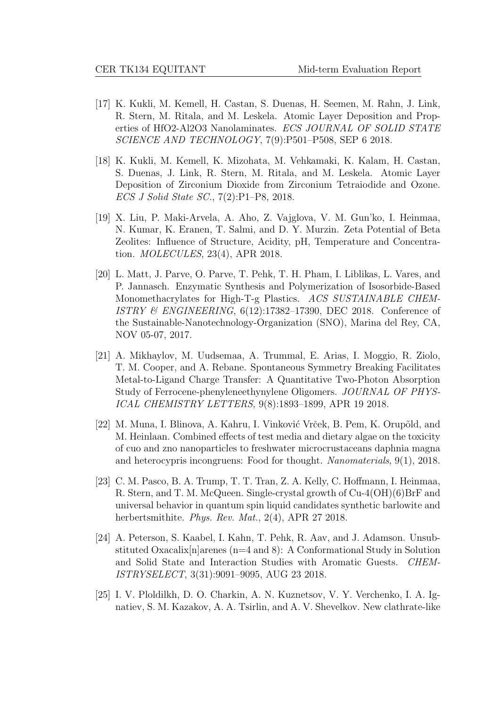- [17] K. Kukli, M. Kemell, H. Castan, S. Duenas, H. Seemen, M. Rahn, J. Link, R. Stern, M. Ritala, and M. Leskela. Atomic Layer Deposition and Properties of HfO2-Al2O3 Nanolaminates. ECS JOURNAL OF SOLID STATE SCIENCE AND TECHNOLOGY, 7(9):P501–P508, SEP 6 2018.
- [18] K. Kukli, M. Kemell, K. Mizohata, M. Vehkamaki, K. Kalam, H. Castan, S. Duenas, J. Link, R. Stern, M. Ritala, and M. Leskela. Atomic Layer Deposition of Zirconium Dioxide from Zirconium Tetraiodide and Ozone. ECS J Solid State SC., 7(2):P1–P8, 2018.
- [19] X. Liu, P. Maki-Arvela, A. Aho, Z. Vajglova, V. M. Gun'ko, I. Heinmaa, N. Kumar, K. Eranen, T. Salmi, and D. Y. Murzin. Zeta Potential of Beta Zeolites: Influence of Structure, Acidity, pH, Temperature and Concentration. MOLECULES, 23(4), APR 2018.
- [20] L. Matt, J. Parve, O. Parve, T. Pehk, T. H. Pham, I. Liblikas, L. Vares, and P. Jannasch. Enzymatic Synthesis and Polymerization of Isosorbide-Based Monomethacrylates for High-T-g Plastics. ACS SUSTAINABLE CHEM-ISTRY & ENGINEERING, 6(12):17382–17390, DEC 2018. Conference of the Sustainable-Nanotechnology-Organization (SNO), Marina del Rey, CA, NOV 05-07, 2017.
- [21] A. Mikhaylov, M. Uudsemaa, A. Trummal, E. Arias, I. Moggio, R. Ziolo, T. M. Cooper, and A. Rebane. Spontaneous Symmetry Breaking Facilitates Metal-to-Ligand Charge Transfer: A Quantitative Two-Photon Absorption Study of Ferrocene-phenyleneethynylene Oligomers. JOURNAL OF PHYS-ICAL CHEMISTRY LETTERS, 9(8):1893–1899, APR 19 2018.
- [22] M. Muna, I. Blinova, A. Kahru, I. Vinković Vrček, B. Pem, K. Orupõld, and M. Heinlaan. Combined effects of test media and dietary algae on the toxicity of cuo and zno nanoparticles to freshwater microcrustaceans daphnia magna and heterocypris incongruens: Food for thought. Nanomaterials, 9(1), 2018.
- [23] C. M. Pasco, B. A. Trump, T. T. Tran, Z. A. Kelly, C. Hoffmann, I. Heinmaa, R. Stern, and T. M. McQueen. Single-crystal growth of Cu-4(OH)(6)BrF and universal behavior in quantum spin liquid candidates synthetic barlowite and herbertsmithite. Phys. Rev. Mat., 2(4), APR 27 2018.
- [24] A. Peterson, S. Kaabel, I. Kahn, T. Pehk, R. Aav, and J. Adamson. Unsubstituted Oxacalix $[n]$ arenes  $(n=4 \text{ and } 8)$ : A Conformational Study in Solution and Solid State and Interaction Studies with Aromatic Guests. CHEM-ISTRYSELECT, 3(31):9091–9095, AUG 23 2018.
- [25] I. V. Ploldilkh, D. O. Charkin, A. N. Kuznetsov, V. Y. Verchenko, I. A. Ignatiev, S. M. Kazakov, A. A. Tsirlin, and A. V. Shevelkov. New clathrate-like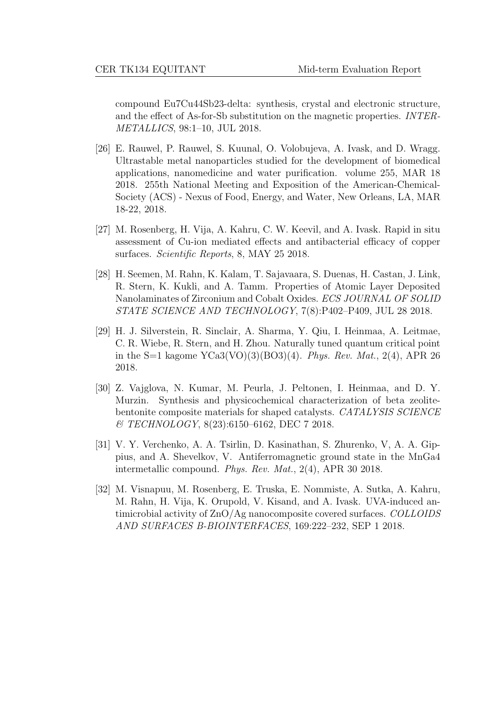compound Eu7Cu44Sb23-delta: synthesis, crystal and electronic structure, and the effect of As-for-Sb substitution on the magnetic properties. INTER-METALLICS, 98:1–10, JUL 2018.

- [26] E. Rauwel, P. Rauwel, S. Kuunal, O. Volobujeva, A. Ivask, and D. Wragg. Ultrastable metal nanoparticles studied for the development of biomedical applications, nanomedicine and water purification. volume 255, MAR 18 2018. 255th National Meeting and Exposition of the American-Chemical-Society (ACS) - Nexus of Food, Energy, and Water, New Orleans, LA, MAR 18-22, 2018.
- [27] M. Rosenberg, H. Vija, A. Kahru, C. W. Keevil, and A. Ivask. Rapid in situ assessment of Cu-ion mediated effects and antibacterial efficacy of copper surfaces. Scientific Reports, 8, MAY 25 2018.
- [28] H. Seemen, M. Rahn, K. Kalam, T. Sajavaara, S. Duenas, H. Castan, J. Link, R. Stern, K. Kukli, and A. Tamm. Properties of Atomic Layer Deposited Nanolaminates of Zirconium and Cobalt Oxides. ECS JOURNAL OF SOLID STATE SCIENCE AND TECHNOLOGY, 7(8):P402–P409, JUL 28 2018.
- [29] H. J. Silverstein, R. Sinclair, A. Sharma, Y. Qiu, I. Heinmaa, A. Leitmae, C. R. Wiebe, R. Stern, and H. Zhou. Naturally tuned quantum critical point in the S=1 kagome  $YCa3(VO)(3)(BO3)(4)$ . *Phys. Rev. Mat.*, 2(4), APR 26 2018.
- [30] Z. Vajglova, N. Kumar, M. Peurla, J. Peltonen, I. Heinmaa, and D. Y. Murzin. Synthesis and physicochemical characterization of beta zeolitebentonite composite materials for shaped catalysts. CATALYSIS SCIENCE  $\&$  TECHNOLOGY, 8(23):6150–6162, DEC 7 2018.
- [31] V. Y. Verchenko, A. A. Tsirlin, D. Kasinathan, S. Zhurenko, V, A. A. Gippius, and A. Shevelkov, V. Antiferromagnetic ground state in the MnGa4 intermetallic compound. Phys. Rev. Mat., 2(4), APR 30 2018.
- [32] M. Visnapuu, M. Rosenberg, E. Truska, E. Nommiste, A. Sutka, A. Kahru, M. Rahn, H. Vija, K. Orupold, V. Kisand, and A. Ivask. UVA-induced antimicrobial activity of ZnO/Ag nanocomposite covered surfaces. COLLOIDS AND SURFACES B-BIOINTERFACES, 169:222–232, SEP 1 2018.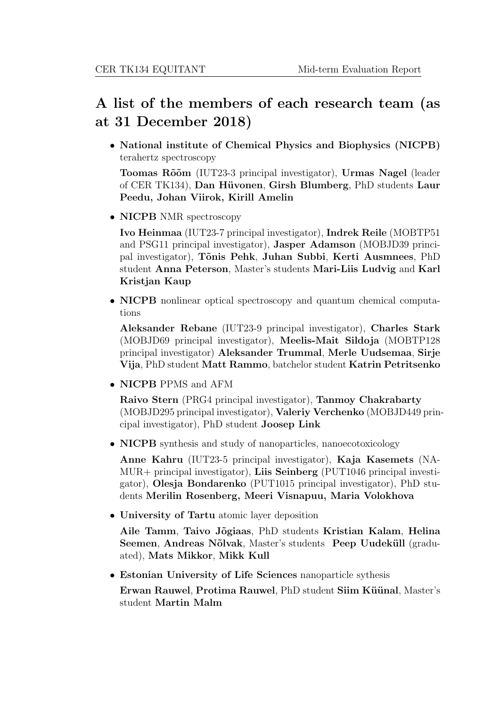# A list of the members of each research team (as at 31 December 2018)

• National institute of Chemical Physics and Biophysics (NICPB) terahertz spectroscopy

Toomas Rõõm (IUT23-3 principal investigator), Urmas Nagel (leader of CER TK134), Dan Hüvonen, Girsh Blumberg, PhD students Laur Peedu, Johan Viirok, Kirill Amelin

• NICPB NMR spectroscopy

Ivo Heinmaa (IUT23-7 principal investigator), Indrek Reile (MOBTP51 and PSG11 principal investigator), Jasper Adamson (MOBJD39 principal investigator), T˜onis Pehk, Juhan Subbi, Kerti Ausmnees, PhD student Anna Peterson, Master's students Mari-Liis Ludvig and Karl Kristjan Kaup

• NICPB nonlinear optical spectroscopy and quantum chemical computations

Aleksander Rebane (IUT23-9 principal investigator), Charles Stark (MOBJD69 principal investigator), Meelis-Mait Sildoja (MOBTP128 principal investigator) Aleksander Trummal, Merle Uudsemaa, Sirje Vija, PhD student Matt Rammo, batchelor student Katrin Petritsenko

• NICPB PPMS and AFM

Raivo Stern (PRG4 principal investigator), Tanmoy Chakrabarty (MOBJD295 principal investigator), Valeriy Verchenko (MOBJD449 principal investigator), PhD student Joosep Link

• NICPB synthesis and study of nanoparticles, nanoecotoxicology

Anne Kahru (IUT23-5 principal investigator), Kaja Kasemets (NA-MUR+ principal investigator), Liis Seinberg (PUT1046 principal investigator), Olesja Bondarenko (PUT1015 principal investigator), PhD students Merilin Rosenberg, Meeri Visnapuu, Maria Volokhova

• University of Tartu atomic layer deposition

Aile Tamm, Taivo Jõgiaas, PhD students Kristian Kalam, Helina Seemen, Andreas Nõlvak, Master's students Peep Uudeküll (graduated), Mats Mikkor, Mikk Kull

- Estonian University of Life Sciences nanoparticle sythesis
	- Erwan Rauwel, Protima Rauwel, PhD student Siim Küünal, Master's student Martin Malm